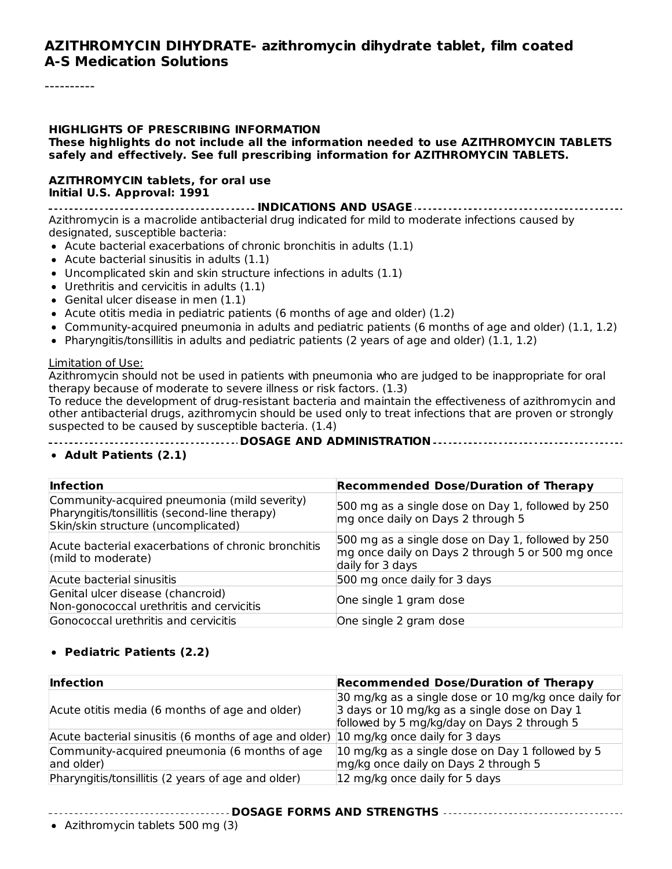#### **AZITHROMYCIN DIHYDRATE- azithromycin dihydrate tablet, film coated A-S Medication Solutions**

#### **HIGHLIGHTS OF PRESCRIBING INFORMATION These highlights do not include all the information needed to use AZITHROMYCIN TABLETS safely and effectively. See full prescribing information for AZITHROMYCIN TABLETS.**

#### **AZITHROMYCIN tablets, for oral use Initial U.S. Approval: 1991**

**INDICATIONS AND USAGE** Azithromycin is a macrolide antibacterial drug indicated for mild to moderate infections caused by designated, susceptible bacteria:

- Acute bacterial exacerbations of chronic bronchitis in adults (1.1)
- $\bullet$  Acute bacterial sinusitis in adults (1.1)
- Uncomplicated skin and skin structure infections in adults (1.1)
- Urethritis and cervicitis in adults (1.1)
- Genital ulcer disease in men (1.1)
- Acute otitis media in pediatric patients (6 months of age and older)  $(1.2)$
- Community-acquired pneumonia in adults and pediatric patients (6 months of age and older) (1.1, 1.2)
- Pharyngitis/tonsillitis in adults and pediatric patients (2 years of age and older)  $(1.1, 1.2)$

#### Limitation of Use:

Azithromycin should not be used in patients with pneumonia who are judged to be inappropriate for oral therapy because of moderate to severe illness or risk factors. (1.3)

To reduce the development of drug-resistant bacteria and maintain the effectiveness of azithromycin and other antibacterial drugs, azithromycin should be used only to treat infections that are proven or strongly suspected to be caused by susceptible bacteria. (1.4)

**DOSAGE AND ADMINISTRATION**

#### **Adult Patients (2.1)**

| <b>Infection</b>                                                                                                                     | <b>Recommended Dose/Duration of Therapy</b>                                                                               |
|--------------------------------------------------------------------------------------------------------------------------------------|---------------------------------------------------------------------------------------------------------------------------|
| Community-acquired pneumonia (mild severity)<br>Pharyngitis/tonsillitis (second-line therapy)<br>Skin/skin structure (uncomplicated) | 500 mg as a single dose on Day 1, followed by 250<br>mg once daily on Days 2 through 5                                    |
| Acute bacterial exacerbations of chronic bronchitis<br>(mild to moderate)                                                            | 500 mg as a single dose on Day 1, followed by 250<br>mg once daily on Days 2 through 5 or 500 mg once<br>daily for 3 days |
| Acute bacterial sinusitis                                                                                                            | 500 mg once daily for 3 days                                                                                              |
| Genital ulcer disease (chancroid)<br>Non-gonococcal urethritis and cervicitis                                                        | One single 1 gram dose                                                                                                    |
| Gonococcal urethritis and cervicitis                                                                                                 | One single 2 gram dose                                                                                                    |

#### **Pediatric Patients (2.2)**

| <b>Infection</b>                                                                     | <b>Recommended Dose/Duration of Therapy</b>                                                                                                         |
|--------------------------------------------------------------------------------------|-----------------------------------------------------------------------------------------------------------------------------------------------------|
| Acute otitis media (6 months of age and older)                                       | 30 mg/kg as a single dose or 10 mg/kg once daily for<br>3 days or 10 mg/kg as a single dose on Day 1<br>followed by 5 mg/kg/day on Days 2 through 5 |
| Acute bacterial sinusitis (6 months of age and older) 10 mg/kg once daily for 3 days |                                                                                                                                                     |
| Community-acquired pneumonia (6 months of age<br>and older)                          | 10 mg/kg as a single dose on Day 1 followed by 5<br>mg/kg once daily on Days 2 through 5                                                            |
| Pharyngitis/tonsillitis (2 years of age and older)                                   | 12 mg/kg once daily for 5 days                                                                                                                      |

#### **DOSAGE FORMS AND STRENGTHS**

Azithromycin tablets 500 mg (3)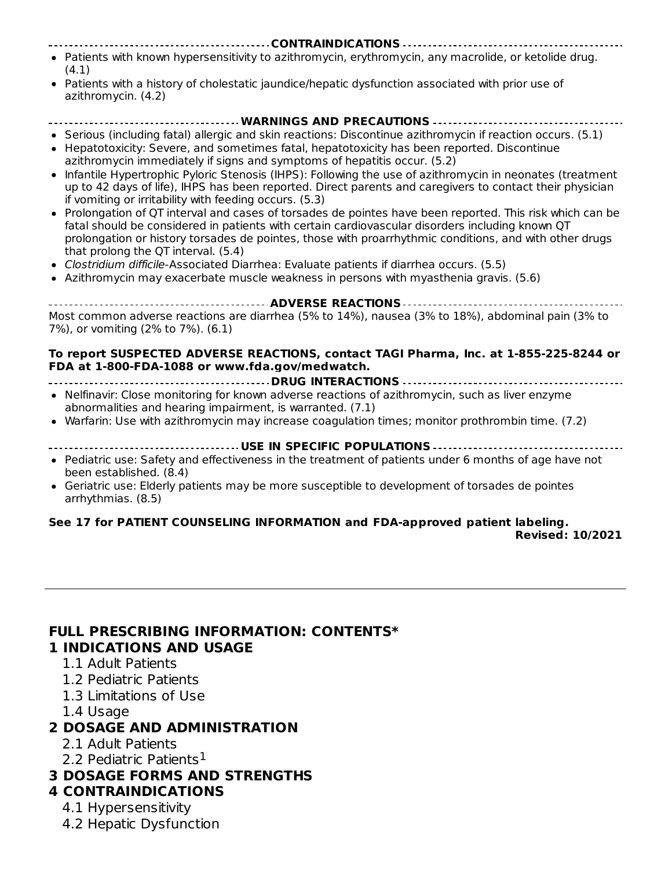- **CONTRAINDICATIONS** Patients with known hypersensitivity to azithromycin, erythromycin, any macrolide, or ketolide drug. (4.1)
- Patients with a history of cholestatic jaundice/hepatic dysfunction associated with prior use of azithromycin. (4.2)

# **WARNINGS AND PRECAUTIONS**

- Serious (including fatal) allergic and skin reactions: Discontinue azithromycin if reaction occurs. (5.1) Hepatotoxicity: Severe, and sometimes fatal, hepatotoxicity has been reported. Discontinue  $\bullet$ azithromycin immediately if signs and symptoms of hepatitis occur. (5.2)
- Infantile Hypertrophic Pyloric Stenosis (IHPS): Following the use of azithromycin in neonates (treatment up to 42 days of life), IHPS has been reported. Direct parents and caregivers to contact their physician if vomiting or irritability with feeding occurs. (5.3)
- Prolongation of QT interval and cases of torsades de pointes have been reported. This risk which can be fatal should be considered in patients with certain cardiovascular disorders including known QT prolongation or history torsades de pointes, those with proarrhythmic conditions, and with other drugs that prolong the QT interval. (5.4)
- Clostridium difficile-Associated Diarrhea: Evaluate patients if diarrhea occurs. (5.5)
- Azithromycin may exacerbate muscle weakness in persons with myasthenia gravis. (5.6)

**ADVERSE REACTIONS** Most common adverse reactions are diarrhea (5% to 14%), nausea (3% to 18%), abdominal pain (3% to 7%), or vomiting (2% to 7%). (6.1)

#### **To report SUSPECTED ADVERSE REACTIONS, contact TAGI Pharma, Inc. at 1-855-225-8244 or FDA at 1-800-FDA-1088 or www.fda.gov/medwatch.**

**DRUG INTERACTIONS** Nelfinavir: Close monitoring for known adverse reactions of azithromycin, such as liver enzyme

- abnormalities and hearing impairment, is warranted. (7.1)
- Warfarin: Use with azithromycin may increase coagulation times; monitor prothrombin time. (7.2)
- **USE IN SPECIFIC POPULATIONS**
- Pediatric use: Safety and effectiveness in the treatment of patients under 6 months of age have not been established. (8.4)
- Geriatric use: Elderly patients may be more susceptible to development of torsades de pointes arrhythmias. (8.5)

# **See 17 for PATIENT COUNSELING INFORMATION and FDA-approved patient labeling.**

**Revised: 10/2021**

#### **FULL PRESCRIBING INFORMATION: CONTENTS\* 1 INDICATIONS AND USAGE**

- 1.1 Adult Patients
- 1.2 Pediatric Patients
- 1.3 Limitations of Use
- 1.4 Usage

#### **2 DOSAGE AND ADMINISTRATION**

- 2.1 Adult Patients
- 2.2 Pediatric Patients<sup>1</sup>
- **3 DOSAGE FORMS AND STRENGTHS**

### **4 CONTRAINDICATIONS**

- 4.1 Hypersensitivity
- 4.2 Hepatic Dysfunction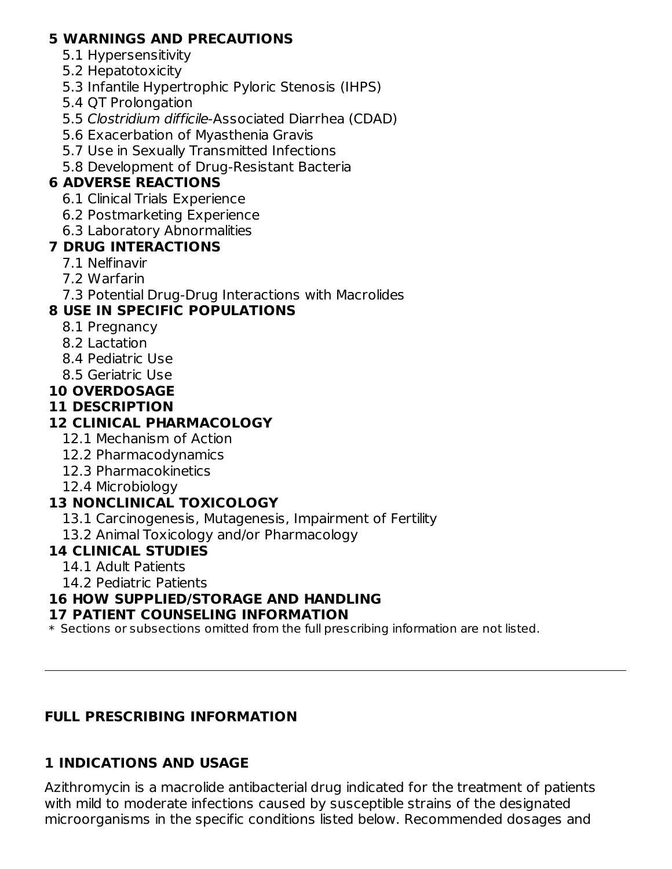### **5 WARNINGS AND PRECAUTIONS**

- 5.1 Hypersensitivity
- 5.2 Hepatotoxicity
- 5.3 Infantile Hypertrophic Pyloric Stenosis (IHPS)
- 5.4 QT Prolongation
- 5.5 Clostridium difficile-Associated Diarrhea (CDAD)
- 5.6 Exacerbation of Myasthenia Gravis
- 5.7 Use in Sexually Transmitted Infections
- 5.8 Development of Drug-Resistant Bacteria

# **6 ADVERSE REACTIONS**

- 6.1 Clinical Trials Experience
- 6.2 Postmarketing Experience
- 6.3 Laboratory Abnormalities

## **7 DRUG INTERACTIONS**

- 7.1 Nelfinavir
- 7.2 Warfarin
- 7.3 Potential Drug-Drug Interactions with Macrolides

# **8 USE IN SPECIFIC POPULATIONS**

- 8.1 Pregnancy
- 8.2 Lactation
- 8.4 Pediatric Use
- 8.5 Geriatric Use

# **10 OVERDOSAGE**

## **11 DESCRIPTION**

# **12 CLINICAL PHARMACOLOGY**

- 12.1 Mechanism of Action
- 12.2 Pharmacodynamics
- 12.3 Pharmacokinetics
- 12.4 Microbiology

# **13 NONCLINICAL TOXICOLOGY**

- 13.1 Carcinogenesis, Mutagenesis, Impairment of Fertility
- 13.2 Animal Toxicology and/or Pharmacology

## **14 CLINICAL STUDIES**

- 14.1 Adult Patients
- 14.2 Pediatric Patients

# **16 HOW SUPPLIED/STORAGE AND HANDLING**

### **17 PATIENT COUNSELING INFORMATION**

\* Sections or subsections omitted from the full prescribing information are not listed.

## **FULL PRESCRIBING INFORMATION**

## **1 INDICATIONS AND USAGE**

Azithromycin is a macrolide antibacterial drug indicated for the treatment of patients with mild to moderate infections caused by susceptible strains of the designated microorganisms in the specific conditions listed below. Recommended dosages and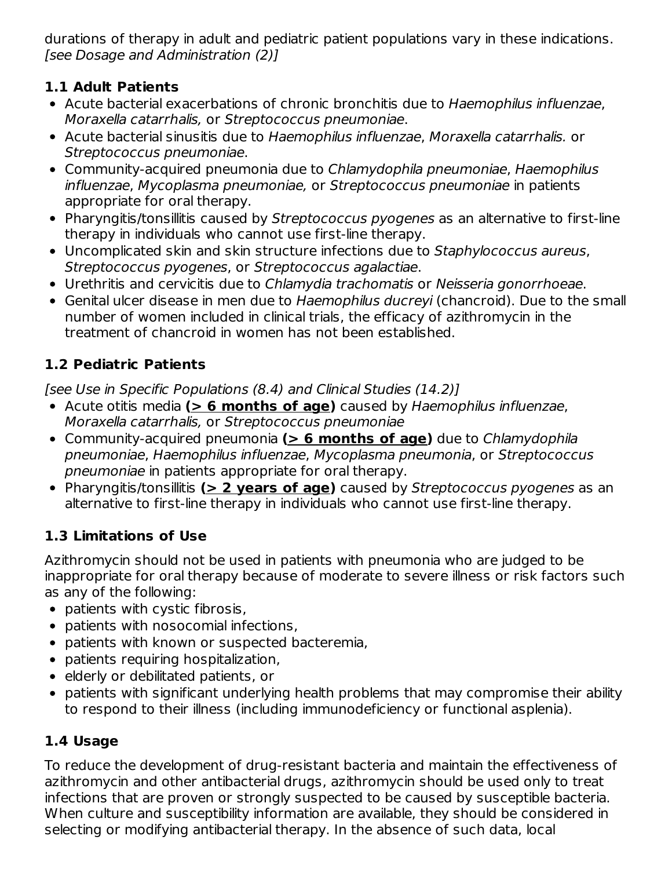durations of therapy in adult and pediatric patient populations vary in these indications. [see Dosage and Administration (2)]

## **1.1 Adult Patients**

- Acute bacterial exacerbations of chronic bronchitis due to Haemophilus influenzae, Moraxella catarrhalis, or Streptococcus pneumoniae.
- Acute bacterial sinusitis due to Haemophilus influenzae, Moraxella catarrhalis. or Streptococcus pneumoniae.
- Community-acquired pneumonia due to Chlamydophila pneumoniae, Haemophilus influenzae, Mycoplasma pneumoniae, or Streptococcus pneumoniae in patients appropriate for oral therapy.
- Pharyngitis/tonsillitis caused by Streptococcus pyogenes as an alternative to first-line therapy in individuals who cannot use first-line therapy.
- Uncomplicated skin and skin structure infections due to Staphylococcus aureus, Streptococcus pyogenes, or Streptococcus agalactiae.
- Urethritis and cervicitis due to Chlamydia trachomatis or Neisseria gonorrhoeae.
- Genital ulcer disease in men due to Haemophilus ducreyi (chancroid). Due to the small number of women included in clinical trials, the efficacy of azithromycin in the treatment of chancroid in women has not been established.

# **1.2 Pediatric Patients**

[see Use in Specific Populations (8.4) and Clinical Studies (14.2)]

- Acute otitis media **(> 6 months of age)** caused by Haemophilus influenzae, Moraxella catarrhalis, or Streptococcus pneumoniae
- Community-acquired pneumonia **(> 6 months of age)** due to Chlamydophila pneumoniae, Haemophilus influenzae, Mycoplasma pneumonia, or Streptococcus pneumoniae in patients appropriate for oral therapy.
- Pharyngitis/tonsillitis **(> 2 years of age)** caused by Streptococcus pyogenes as an alternative to first-line therapy in individuals who cannot use first-line therapy.

# **1.3 Limitations of Use**

Azithromycin should not be used in patients with pneumonia who are judged to be inappropriate for oral therapy because of moderate to severe illness or risk factors such as any of the following:

- patients with cystic fibrosis,
- patients with nosocomial infections,
- patients with known or suspected bacteremia,
- patients requiring hospitalization,
- elderly or debilitated patients, or
- patients with significant underlying health problems that may compromise their ability to respond to their illness (including immunodeficiency or functional asplenia).

# **1.4 Usage**

To reduce the development of drug-resistant bacteria and maintain the effectiveness of azithromycin and other antibacterial drugs, azithromycin should be used only to treat infections that are proven or strongly suspected to be caused by susceptible bacteria. When culture and susceptibility information are available, they should be considered in selecting or modifying antibacterial therapy. In the absence of such data, local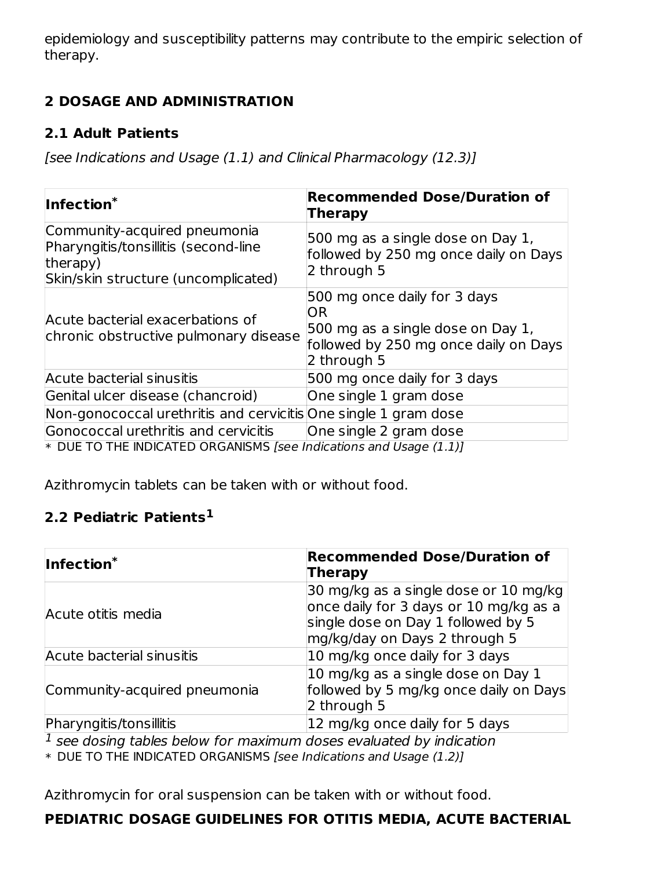epidemiology and susceptibility patterns may contribute to the empiric selection of therapy.

# **2 DOSAGE AND ADMINISTRATION**

### **2.1 Adult Patients**

[see Indications and Usage (1.1) and Clinical Pharmacology (12.3)]

| Infection*                                                                                                              | <b>Recommended Dose/Duration of</b><br>Therapy                                                                                  |
|-------------------------------------------------------------------------------------------------------------------------|---------------------------------------------------------------------------------------------------------------------------------|
| Community-acquired pneumonia<br>Pharyngitis/tonsillitis (second-line<br>therapy)<br>Skin/skin structure (uncomplicated) | 500 mg as a single dose on Day 1,<br>followed by 250 mg once daily on Days<br>2 through 5                                       |
| Acute bacterial exacerbations of<br>chronic obstructive pulmonary disease                                               | 500 mg once daily for 3 days<br>OR<br>500 mg as a single dose on Day 1,<br>followed by 250 mg once daily on Days<br>2 through 5 |
| Acute bacterial sinusitis                                                                                               | 500 mg once daily for 3 days                                                                                                    |
| Genital ulcer disease (chancroid)                                                                                       | One single 1 gram dose                                                                                                          |
| Non-gonococcal urethritis and cervicitis One single 1 gram dose                                                         |                                                                                                                                 |
| Gonococcal urethritis and cervicitis<br>$*$ DUE TO THE INDICATED ORCANICMS <i>Lega Indications and Usago (1.1)</i>      | One single 2 gram dose                                                                                                          |

\* DUE TO THE INDICATED ORGANISMS [see Indications and Usage (1.1)]

Azithromycin tablets can be taken with or without food.

## **2.2 Pediatric Patients 1**

| Infection <sup>*</sup>       | <b>Recommended Dose/Duration of</b><br>Therapy                                                                                                         |
|------------------------------|--------------------------------------------------------------------------------------------------------------------------------------------------------|
| Acute otitis media           | 30 mg/kg as a single dose or 10 mg/kg<br>once daily for 3 days or 10 mg/kg as a<br>single dose on Day 1 followed by 5<br>mg/kg/day on Days 2 through 5 |
| Acute bacterial sinusitis    | 10 mg/kg once daily for 3 days                                                                                                                         |
| Community-acquired pneumonia | 10 mg/kg as a single dose on Day 1<br>followed by 5 mg/kg once daily on Days<br>2 through 5                                                            |
| Pharyngitis/tonsillitis      | 12 mg/kg once daily for 5 days                                                                                                                         |

 $^{\rm 1}$  see dosing tables below for maximum doses evaluated by indication

\* DUE TO THE INDICATED ORGANISMS [see Indications and Usage (1.2)]

Azithromycin for oral suspension can be taken with or without food.

## **PEDIATRIC DOSAGE GUIDELINES FOR OTITIS MEDIA, ACUTE BACTERIAL**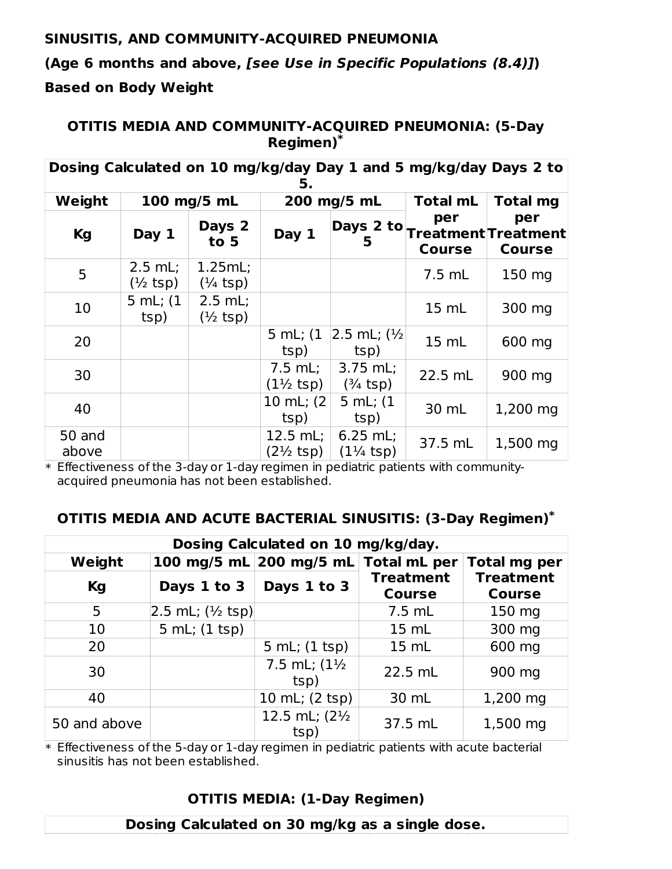#### **SINUSITIS, AND COMMUNITY-ACQUIRED PNEUMONIA**

**(Age 6 months and above, [see Use in Specific Populations (8.4)]) Based on Body Weight**

**OTITIS MEDIA AND COMMUNITY-ACQUIRED PNEUMONIA: (5-Day Regimen) \***

| Dosing Calculated on 10 mg/kg/day Day 1 and 5 mg/kg/day Days 2 to<br>5. |                      |                                        |                                           |                                    |                      |                                                       |  |
|-------------------------------------------------------------------------|----------------------|----------------------------------------|-------------------------------------------|------------------------------------|----------------------|-------------------------------------------------------|--|
| Weight                                                                  |                      | 100 mg/5 mL                            |                                           | 200 mg/5 mL                        | <b>Total mL</b>      | <b>Total mg</b>                                       |  |
| <b>Kg</b>                                                               | Day 1                | Days 2<br>to 5                         | Day 1                                     | 5                                  | per<br><b>Course</b> | per<br>Days 2 to Treatment Treatment<br><b>Course</b> |  |
| 5                                                                       | $2.5$ mL;<br>(½ tsp) | 1.25mL;<br>$(\frac{1}{4} \text{ tsp})$ |                                           |                                    | 7.5 mL               | 150 mg                                                |  |
| 10                                                                      | 5 mL; (1<br>tsp)     | $2.5$ mL;<br>$(1/2$ tsp)               |                                           |                                    | 15 mL                | 300 mg                                                |  |
| 20                                                                      |                      |                                        | 5 mL; (1<br>tsp)                          | $ 2.5$ mL; $(\frac{1}{2})$<br>tsp) | 15 mL                | 600 mg                                                |  |
| 30                                                                      |                      |                                        | $7.5$ mL;<br>$(1\frac{1}{2} \text{ tsp})$ | 3.75 mL;<br>$(3/4$ tsp)            | 22.5 mL              | 900 mg                                                |  |
| 40                                                                      |                      |                                        | 10 mL; $(2)$<br>tsp)                      | 5 mL; (1<br>tsp)                   | 30 mL                | 1,200 mg                                              |  |
| 50 and<br>above                                                         |                      |                                        | 12.5 mL;<br>$(2\frac{1}{2} \text{ tsp})$  | $6.25$ mL;<br>$(1\frac{1}{4}$ tsp) | 37.5 mL              | 1,500 mg                                              |  |

\* Effectiveness of the 3-day or 1-day regimen in pediatric patients with communityacquired pneumonia has not been established.

#### **OTITIS MEDIA AND ACUTE BACTERIAL SINUSITIS: (3-Day Regimen) \***

| Dosing Calculated on 10 mg/kg/day. |                               |                                      |                                   |                                   |  |  |
|------------------------------------|-------------------------------|--------------------------------------|-----------------------------------|-----------------------------------|--|--|
| Weight                             |                               | 100 mg/5 mL 200 mg/5 mL Total mL per |                                   | <b>Total mg per</b>               |  |  |
| Kg                                 | Days 1 to 3                   | Days 1 to 3                          | <b>Treatment</b><br><b>Course</b> | <b>Treatment</b><br><b>Course</b> |  |  |
| 5                                  | $2.5$ mL; $(\frac{1}{2}$ tsp) |                                      | 7.5 mL                            | 150 mg                            |  |  |
| 10                                 | 5 mL; (1 tsp)                 |                                      | $15 \text{ mL}$                   | 300 mg                            |  |  |
| 20                                 |                               | 5 mL; (1 tsp)                        | 15 mL                             | 600 mg                            |  |  |
| 30                                 |                               | 7.5 mL; (11/2)<br>tsp)               | 22.5 mL                           | 900 mg                            |  |  |
| 40                                 |                               | 10 mL; (2 tsp)                       | 30 mL                             | 1,200 mg                          |  |  |
| 50 and above                       |                               | 12.5 mL; (21/2)<br>tsp)              | 37.5 mL                           | 1,500 mg                          |  |  |

\* Effectiveness of the 5-day or 1-day regimen in pediatric patients with acute bacterial sinusitis has not been established.

#### **OTITIS MEDIA: (1-Day Regimen)**

#### **Dosing Calculated on 30 mg/kg as a single dose.**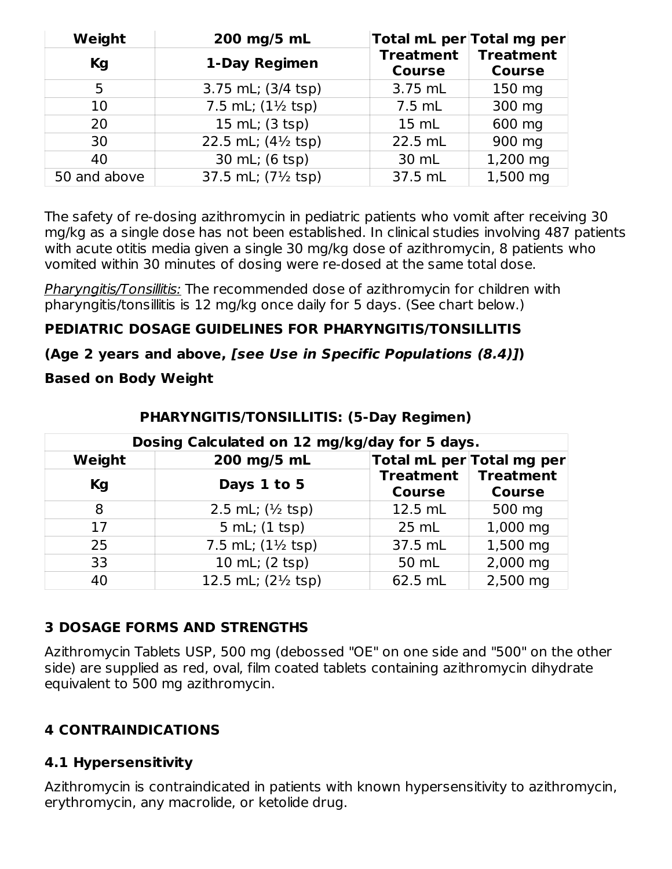| Weight<br>200 mg/5 mL |                                       |                                   | Total mL per Total mg per         |
|-----------------------|---------------------------------------|-----------------------------------|-----------------------------------|
| Kg                    | 1-Day Regimen                         | <b>Treatment</b><br><b>Course</b> | <b>Treatment</b><br><b>Course</b> |
| 5                     | 3.75 mL; (3/4 tsp)                    | 3.75 mL                           | 150 mg                            |
| 10                    | 7.5 mL; $(1\frac{1}{2} \text{ tsp})$  | $7.5$ mL                          | 300 mg                            |
| 20                    | 15 mL; (3 tsp)                        | 15 mL                             | 600 mg                            |
| 30                    | 22.5 mL; $(4\frac{1}{2} \text{ tsp})$ | 22.5 mL                           | 900 mg                            |
| 40                    | 30 mL; (6 tsp)                        | 30 mL                             | 1,200 mg                          |
| 50 and above          | 37.5 mL; (7½ tsp)                     | 37.5 mL                           | 1,500 mg                          |

The safety of re-dosing azithromycin in pediatric patients who vomit after receiving 30 mg/kg as a single dose has not been established. In clinical studies involving 487 patients with acute otitis media given a single 30 mg/kg dose of azithromycin, 8 patients who vomited within 30 minutes of dosing were re-dosed at the same total dose.

Pharyngitis/Tonsillitis: The recommended dose of azithromycin for children with pharyngitis/tonsillitis is 12 mg/kg once daily for 5 days. (See chart below.)

### **PEDIATRIC DOSAGE GUIDELINES FOR PHARYNGITIS/TONSILLITIS**

### **(Age 2 years and above, [see Use in Specific Populations (8.4)])**

#### **Based on Body Weight**

|           | Dosing Calculated on 12 mg/kg/day for 5 days. |                  |                                               |  |  |  |  |  |
|-----------|-----------------------------------------------|------------------|-----------------------------------------------|--|--|--|--|--|
| Weight    | 200 mg/5 mL                                   | <b>Treatment</b> | Total mL per Total mg per<br><b>Treatment</b> |  |  |  |  |  |
| <b>Kg</b> | Days 1 to 5                                   | <b>Course</b>    | <b>Course</b>                                 |  |  |  |  |  |
| 8         | 2.5 mL; $(\frac{1}{2} \text{ tsp})$           | 12.5 mL          | 500 mg                                        |  |  |  |  |  |
| 17        | 5 mL; (1 tsp)                                 | $25$ mL          | 1,000 mg                                      |  |  |  |  |  |
| 25        | 7.5 mL; $(1\frac{1}{2}$ tsp)                  | 37.5 mL          | 1,500 mg                                      |  |  |  |  |  |
| 33        | 10 mL; (2 tsp)                                | 50 mL            | 2,000 mg                                      |  |  |  |  |  |
| 40        | 12.5 mL; (21/2 tsp)                           | 62.5 mL          | 2,500 mg                                      |  |  |  |  |  |

#### **PHARYNGITIS/TONSILLITIS: (5-Day Regimen)**

### **3 DOSAGE FORMS AND STRENGTHS**

Azithromycin Tablets USP, 500 mg (debossed "OE" on one side and "500" on the other side) are supplied as red, oval, film coated tablets containing azithromycin dihydrate equivalent to 500 mg azithromycin.

### **4 CONTRAINDICATIONS**

### **4.1 Hypersensitivity**

Azithromycin is contraindicated in patients with known hypersensitivity to azithromycin, erythromycin, any macrolide, or ketolide drug.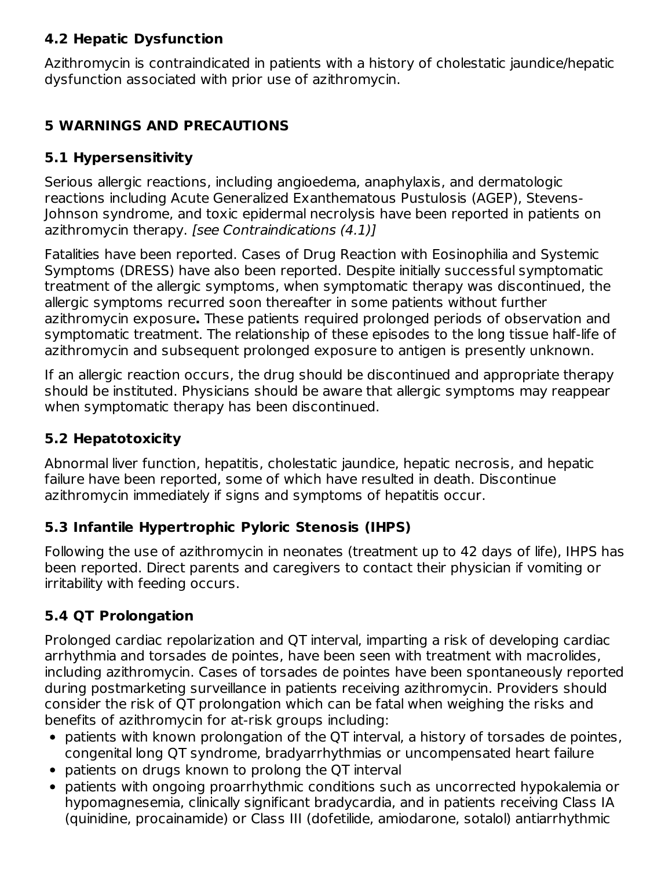## **4.2 Hepatic Dysfunction**

Azithromycin is contraindicated in patients with a history of cholestatic jaundice/hepatic dysfunction associated with prior use of azithromycin.

## **5 WARNINGS AND PRECAUTIONS**

### **5.1 Hypersensitivity**

Serious allergic reactions, including angioedema, anaphylaxis, and dermatologic reactions including Acute Generalized Exanthematous Pustulosis (AGEP), Stevens-Johnson syndrome, and toxic epidermal necrolysis have been reported in patients on azithromycin therapy. [see Contraindications (4.1)]

Fatalities have been reported. Cases of Drug Reaction with Eosinophilia and Systemic Symptoms (DRESS) have also been reported. Despite initially successful symptomatic treatment of the allergic symptoms, when symptomatic therapy was discontinued, the allergic symptoms recurred soon thereafter in some patients without further azithromycin exposure**.** These patients required prolonged periods of observation and symptomatic treatment. The relationship of these episodes to the long tissue half-life of azithromycin and subsequent prolonged exposure to antigen is presently unknown.

If an allergic reaction occurs, the drug should be discontinued and appropriate therapy should be instituted. Physicians should be aware that allergic symptoms may reappear when symptomatic therapy has been discontinued.

## **5.2 Hepatotoxicity**

Abnormal liver function, hepatitis, cholestatic jaundice, hepatic necrosis, and hepatic failure have been reported, some of which have resulted in death. Discontinue azithromycin immediately if signs and symptoms of hepatitis occur.

## **5.3 Infantile Hypertrophic Pyloric Stenosis (IHPS)**

Following the use of azithromycin in neonates (treatment up to 42 days of life), IHPS has been reported. Direct parents and caregivers to contact their physician if vomiting or irritability with feeding occurs.

## **5.4 QT Prolongation**

Prolonged cardiac repolarization and QT interval, imparting a risk of developing cardiac arrhythmia and torsades de pointes, have been seen with treatment with macrolides, including azithromycin. Cases of torsades de pointes have been spontaneously reported during postmarketing surveillance in patients receiving azithromycin. Providers should consider the risk of QT prolongation which can be fatal when weighing the risks and benefits of azithromycin for at-risk groups including:

- patients with known prolongation of the QT interval, a history of torsades de pointes, congenital long QT syndrome, bradyarrhythmias or uncompensated heart failure
- patients on drugs known to prolong the QT interval
- patients with ongoing proarrhythmic conditions such as uncorrected hypokalemia or hypomagnesemia, clinically significant bradycardia, and in patients receiving Class IA (quinidine, procainamide) or Class III (dofetilide, amiodarone, sotalol) antiarrhythmic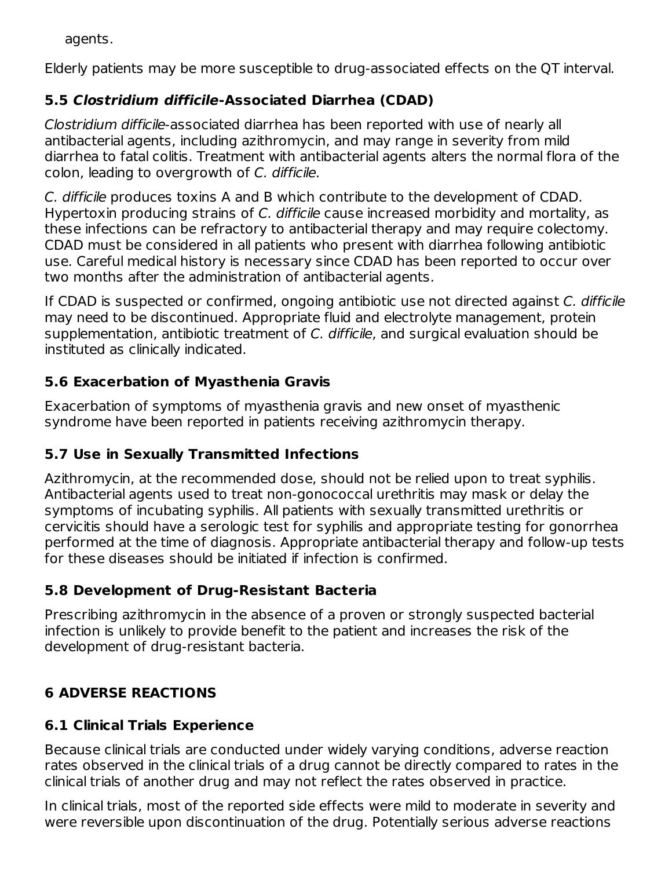agents.

Elderly patients may be more susceptible to drug-associated effects on the QT interval.

# **5.5 Clostridium difficile-Associated Diarrhea (CDAD)**

Clostridium difficile-associated diarrhea has been reported with use of nearly all antibacterial agents, including azithromycin, and may range in severity from mild diarrhea to fatal colitis. Treatment with antibacterial agents alters the normal flora of the colon, leading to overgrowth of C. difficile.

C. difficile produces toxins A and B which contribute to the development of CDAD. Hypertoxin producing strains of C. difficile cause increased morbidity and mortality, as these infections can be refractory to antibacterial therapy and may require colectomy. CDAD must be considered in all patients who present with diarrhea following antibiotic use. Careful medical history is necessary since CDAD has been reported to occur over two months after the administration of antibacterial agents.

If CDAD is suspected or confirmed, ongoing antibiotic use not directed against C. difficile may need to be discontinued. Appropriate fluid and electrolyte management, protein supplementation, antibiotic treatment of C. difficile, and surgical evaluation should be instituted as clinically indicated.

# **5.6 Exacerbation of Myasthenia Gravis**

Exacerbation of symptoms of myasthenia gravis and new onset of myasthenic syndrome have been reported in patients receiving azithromycin therapy.

# **5.7 Use in Sexually Transmitted Infections**

Azithromycin, at the recommended dose, should not be relied upon to treat syphilis. Antibacterial agents used to treat non-gonococcal urethritis may mask or delay the symptoms of incubating syphilis. All patients with sexually transmitted urethritis or cervicitis should have a serologic test for syphilis and appropriate testing for gonorrhea performed at the time of diagnosis. Appropriate antibacterial therapy and follow-up tests for these diseases should be initiated if infection is confirmed.

# **5.8 Development of Drug-Resistant Bacteria**

Prescribing azithromycin in the absence of a proven or strongly suspected bacterial infection is unlikely to provide benefit to the patient and increases the risk of the development of drug-resistant bacteria.

# **6 ADVERSE REACTIONS**

# **6.1 Clinical Trials Experience**

Because clinical trials are conducted under widely varying conditions, adverse reaction rates observed in the clinical trials of a drug cannot be directly compared to rates in the clinical trials of another drug and may not reflect the rates observed in practice.

In clinical trials, most of the reported side effects were mild to moderate in severity and were reversible upon discontinuation of the drug. Potentially serious adverse reactions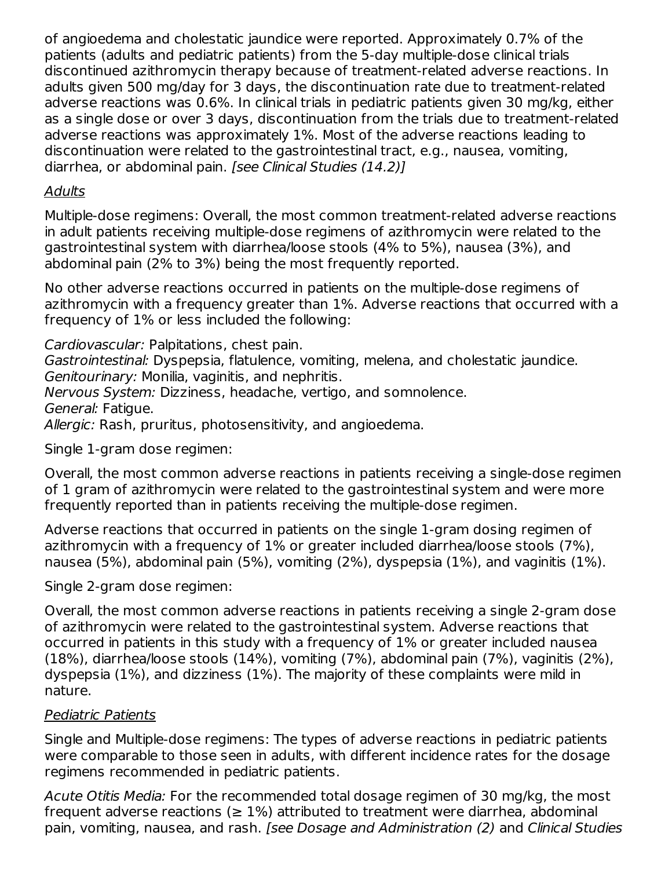of angioedema and cholestatic jaundice were reported. Approximately 0.7% of the patients (adults and pediatric patients) from the 5-day multiple-dose clinical trials discontinued azithromycin therapy because of treatment-related adverse reactions. In adults given 500 mg/day for 3 days, the discontinuation rate due to treatment-related adverse reactions was 0.6%. In clinical trials in pediatric patients given 30 mg/kg, either as a single dose or over 3 days, discontinuation from the trials due to treatment-related adverse reactions was approximately 1%. Most of the adverse reactions leading to discontinuation were related to the gastrointestinal tract, e.g., nausea, vomiting, diarrhea, or abdominal pain. [see Clinical Studies (14.2)]

#### Adults

Multiple-dose regimens: Overall, the most common treatment-related adverse reactions in adult patients receiving multiple-dose regimens of azithromycin were related to the gastrointestinal system with diarrhea/loose stools (4% to 5%), nausea (3%), and abdominal pain (2% to 3%) being the most frequently reported.

No other adverse reactions occurred in patients on the multiple-dose regimens of azithromycin with a frequency greater than 1%. Adverse reactions that occurred with a frequency of 1% or less included the following:

Cardiovascular: Palpitations, chest pain.

Gastrointestinal: Dyspepsia, flatulence, vomiting, melena, and cholestatic jaundice. Genitourinary: Monilia, vaginitis, and nephritis.

Nervous System: Dizziness, headache, vertigo, and somnolence.

General: Fatigue.

Allergic: Rash, pruritus, photosensitivity, and angioedema.

Single 1-gram dose regimen:

Overall, the most common adverse reactions in patients receiving a single-dose regimen of 1 gram of azithromycin were related to the gastrointestinal system and were more frequently reported than in patients receiving the multiple-dose regimen.

Adverse reactions that occurred in patients on the single 1-gram dosing regimen of azithromycin with a frequency of 1% or greater included diarrhea/loose stools (7%), nausea (5%), abdominal pain (5%), vomiting (2%), dyspepsia (1%), and vaginitis (1%).

Single 2-gram dose regimen:

Overall, the most common adverse reactions in patients receiving a single 2-gram dose of azithromycin were related to the gastrointestinal system. Adverse reactions that occurred in patients in this study with a frequency of 1% or greater included nausea (18%), diarrhea/loose stools (14%), vomiting (7%), abdominal pain (7%), vaginitis (2%), dyspepsia (1%), and dizziness (1%). The majority of these complaints were mild in nature.

### Pediatric Patients

Single and Multiple-dose regimens: The types of adverse reactions in pediatric patients were comparable to those seen in adults, with different incidence rates for the dosage regimens recommended in pediatric patients.

Acute Otitis Media: For the recommended total dosage regimen of 30 mg/kg, the most frequent adverse reactions ( $\geq 1\%$ ) attributed to treatment were diarrhea, abdominal pain, vomiting, nausea, and rash. [see Dosage and Administration (2) and Clinical Studies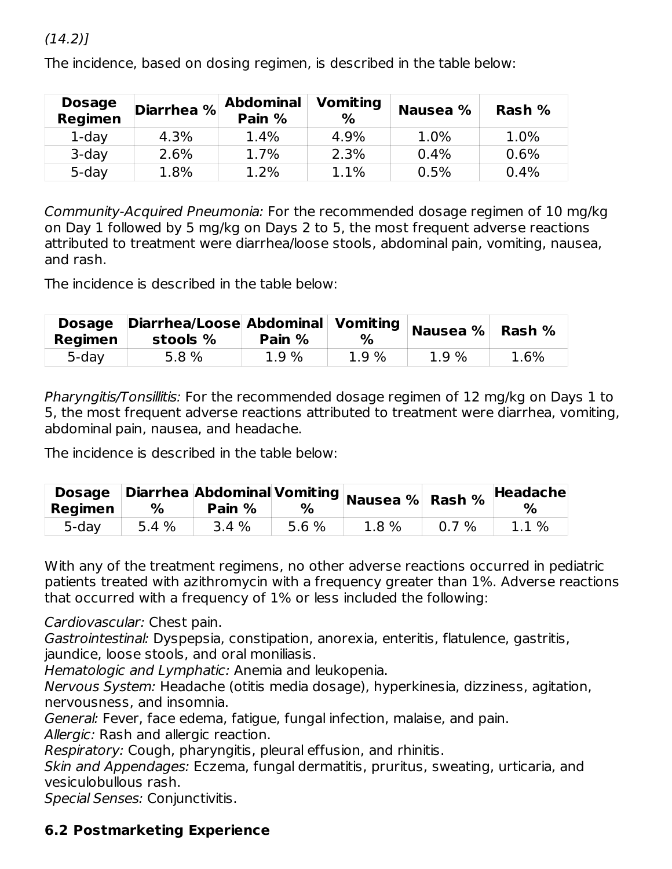#### $(14.2)$ ]

| <b>Dosage</b><br>Regimen | Diarrhea % | <b>Abdominal</b><br>Pain % | <b>Vomiting</b><br>℅ | Nausea % | Rash % |
|--------------------------|------------|----------------------------|----------------------|----------|--------|
| $1$ -day                 | 4.3%       | 1.4%                       | 4.9%                 | $1.0\%$  | 1.0%   |
| $3$ -day                 | 2.6%       | 1.7%                       | 2.3%                 | 0.4%     | 0.6%   |
| 5-day                    | 1.8%       | 1.2%                       | 1.1%                 | 0.5%     | 0.4%   |

The incidence, based on dosing regimen, is described in the table below:

Community-Acquired Pneumonia: For the recommended dosage regimen of 10 mg/kg on Day 1 followed by 5 mg/kg on Days 2 to 5, the most frequent adverse reactions attributed to treatment were diarrhea/loose stools, abdominal pain, vomiting, nausea, and rash.

The incidence is described in the table below:

| Regimen | Dosage Diarrhea/Loose Abdominal Vomiting<br>stools % | Pain % | $\%$ | $^{\shortmid}$ Nausea % $^{\shortmid}$ | Rash % |
|---------|------------------------------------------------------|--------|------|----------------------------------------|--------|
| 5-day   | 5.8%                                                 | 1.9%   | 1.9% | 1.9%                                   | 1.6%   |

Pharyngitis/Tonsillitis: For the recommended dosage regimen of 12 mg/kg on Days 1 to 5, the most frequent adverse reactions attributed to treatment were diarrhea, vomiting, abdominal pain, nausea, and headache.

The incidence is described in the table below:

| Regimen | %    | Pain % | %     | $\overline{\textbf{D}}$ osage Diarrhea Abdominal Vomiting Nausea % Rash % $\overline{\textbf{H}}^{\textbf{P}}$ |      | Headache<br>$\%$ |
|---------|------|--------|-------|----------------------------------------------------------------------------------------------------------------|------|------------------|
| 5-day   | 5.4% | 3.4%   | 5.6 % | 1.8%                                                                                                           | 0.7% | 1.1%             |

With any of the treatment regimens, no other adverse reactions occurred in pediatric patients treated with azithromycin with a frequency greater than 1%. Adverse reactions that occurred with a frequency of 1% or less included the following:

Cardiovascular: Chest pain.

Gastrointestinal: Dyspepsia, constipation, anorexia, enteritis, flatulence, gastritis, jaundice, loose stools, and oral moniliasis.

Hematologic and Lymphatic: Anemia and leukopenia.

Nervous System: Headache (otitis media dosage), hyperkinesia, dizziness, agitation, nervousness, and insomnia.

General: Fever, face edema, fatigue, fungal infection, malaise, and pain.

Allergic: Rash and allergic reaction.

Respiratory: Cough, pharyngitis, pleural effusion, and rhinitis.

Skin and Appendages: Eczema, fungal dermatitis, pruritus, sweating, urticaria, and vesiculobullous rash.

Special Senses: Conjunctivitis.

### **6.2 Postmarketing Experience**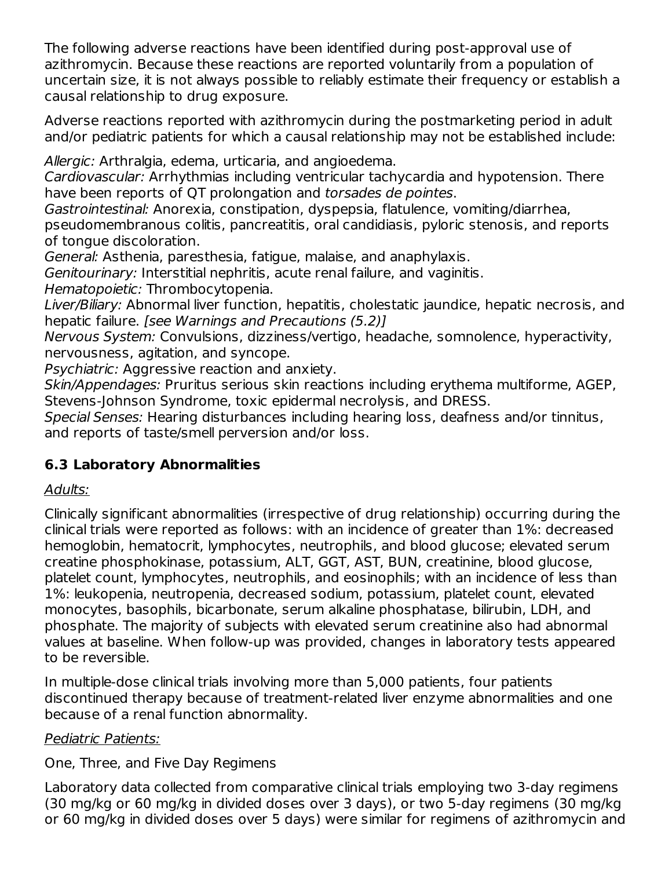The following adverse reactions have been identified during post-approval use of azithromycin. Because these reactions are reported voluntarily from a population of uncertain size, it is not always possible to reliably estimate their frequency or establish a causal relationship to drug exposure.

Adverse reactions reported with azithromycin during the postmarketing period in adult and/or pediatric patients for which a causal relationship may not be established include:

Allergic: Arthralgia, edema, urticaria, and angioedema.

Cardiovascular: Arrhythmias including ventricular tachycardia and hypotension. There have been reports of QT prolongation and torsades de pointes.

Gastrointestinal: Anorexia, constipation, dyspepsia, flatulence, vomiting/diarrhea,

pseudomembranous colitis, pancreatitis, oral candidiasis, pyloric stenosis, and reports of tongue discoloration.

General: Asthenia, paresthesia, fatigue, malaise, and anaphylaxis.

Genitourinary: Interstitial nephritis, acute renal failure, and vaginitis.

Hematopoietic: Thrombocytopenia.

Liver/Biliary: Abnormal liver function, hepatitis, cholestatic jaundice, hepatic necrosis, and hepatic failure. *[see Warnings and Precautions (5.2)]* 

Nervous System: Convulsions, dizziness/vertigo, headache, somnolence, hyperactivity, nervousness, agitation, and syncope.

Psychiatric: Aggressive reaction and anxiety.

Skin/Appendages: Pruritus serious skin reactions including erythema multiforme, AGEP, Stevens-Johnson Syndrome, toxic epidermal necrolysis, and DRESS.

Special Senses: Hearing disturbances including hearing loss, deafness and/or tinnitus, and reports of taste/smell perversion and/or loss.

### **6.3 Laboratory Abnormalities**

### Adults:

Clinically significant abnormalities (irrespective of drug relationship) occurring during the clinical trials were reported as follows: with an incidence of greater than 1%: decreased hemoglobin, hematocrit, lymphocytes, neutrophils, and blood glucose; elevated serum creatine phosphokinase, potassium, ALT, GGT, AST, BUN, creatinine, blood glucose, platelet count, lymphocytes, neutrophils, and eosinophils; with an incidence of less than 1%: leukopenia, neutropenia, decreased sodium, potassium, platelet count, elevated monocytes, basophils, bicarbonate, serum alkaline phosphatase, bilirubin, LDH, and phosphate. The majority of subjects with elevated serum creatinine also had abnormal values at baseline. When follow-up was provided, changes in laboratory tests appeared to be reversible.

In multiple-dose clinical trials involving more than 5,000 patients, four patients discontinued therapy because of treatment-related liver enzyme abnormalities and one because of a renal function abnormality.

### Pediatric Patients:

One, Three, and Five Day Regimens

Laboratory data collected from comparative clinical trials employing two 3-day regimens (30 mg/kg or 60 mg/kg in divided doses over 3 days), or two 5-day regimens (30 mg/kg or 60 mg/kg in divided doses over 5 days) were similar for regimens of azithromycin and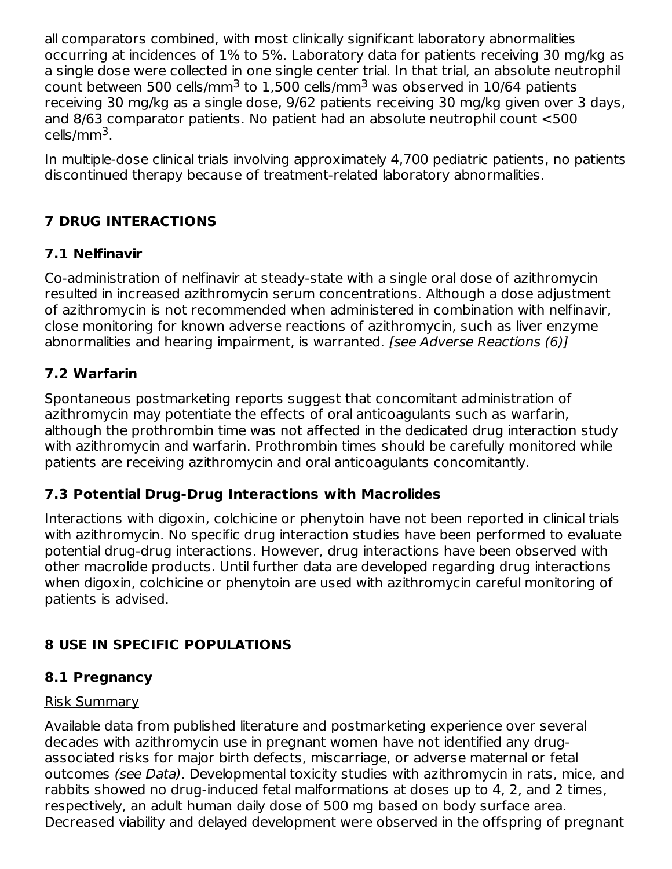all comparators combined, with most clinically significant laboratory abnormalities occurring at incidences of 1% to 5%. Laboratory data for patients receiving 30 mg/kg as a single dose were collected in one single center trial. In that trial, an absolute neutrophil count between 500 cells/mm<sup>3</sup> to 1,500 cells/mm<sup>3</sup> was observed in 10/64 patients receiving 30 mg/kg as a single dose, 9/62 patients receiving 30 mg/kg given over 3 days, and 8/63 comparator patients. No patient had an absolute neutrophil count <500 cells/mm<sup>3</sup>.

In multiple-dose clinical trials involving approximately 4,700 pediatric patients, no patients discontinued therapy because of treatment-related laboratory abnormalities.

# **7 DRUG INTERACTIONS**

# **7.1 Nelfinavir**

Co-administration of nelfinavir at steady-state with a single oral dose of azithromycin resulted in increased azithromycin serum concentrations. Although a dose adjustment of azithromycin is not recommended when administered in combination with nelfinavir, close monitoring for known adverse reactions of azithromycin, such as liver enzyme abnormalities and hearing impairment, is warranted. [see Adverse Reactions (6)]

## **7.2 Warfarin**

Spontaneous postmarketing reports suggest that concomitant administration of azithromycin may potentiate the effects of oral anticoagulants such as warfarin, although the prothrombin time was not affected in the dedicated drug interaction study with azithromycin and warfarin. Prothrombin times should be carefully monitored while patients are receiving azithromycin and oral anticoagulants concomitantly.

## **7.3 Potential Drug-Drug Interactions with Macrolides**

Interactions with digoxin, colchicine or phenytoin have not been reported in clinical trials with azithromycin. No specific drug interaction studies have been performed to evaluate potential drug-drug interactions. However, drug interactions have been observed with other macrolide products. Until further data are developed regarding drug interactions when digoxin, colchicine or phenytoin are used with azithromycin careful monitoring of patients is advised.

# **8 USE IN SPECIFIC POPULATIONS**

## **8.1 Pregnancy**

### Risk Summary

Available data from published literature and postmarketing experience over several decades with azithromycin use in pregnant women have not identified any drugassociated risks for major birth defects, miscarriage, or adverse maternal or fetal outcomes (see Data). Developmental toxicity studies with azithromycin in rats, mice, and rabbits showed no drug-induced fetal malformations at doses up to 4, 2, and 2 times, respectively, an adult human daily dose of 500 mg based on body surface area. Decreased viability and delayed development were observed in the offspring of pregnant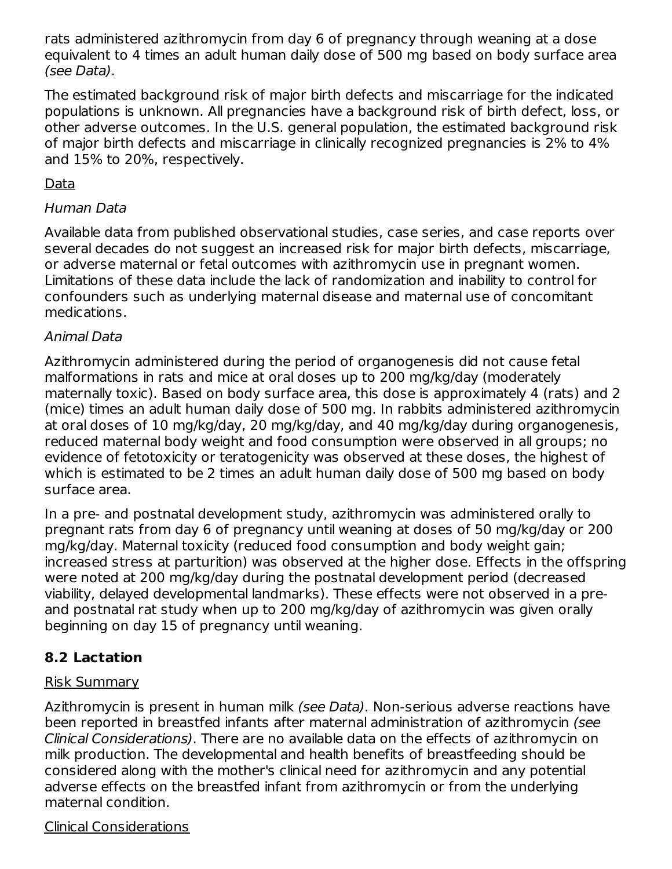rats administered azithromycin from day 6 of pregnancy through weaning at a dose equivalent to 4 times an adult human daily dose of 500 mg based on body surface area (see Data).

The estimated background risk of major birth defects and miscarriage for the indicated populations is unknown. All pregnancies have a background risk of birth defect, loss, or other adverse outcomes. In the U.S. general population, the estimated background risk of major birth defects and miscarriage in clinically recognized pregnancies is 2% to 4% and 15% to 20%, respectively.

### Data

### Human Data

Available data from published observational studies, case series, and case reports over several decades do not suggest an increased risk for major birth defects, miscarriage, or adverse maternal or fetal outcomes with azithromycin use in pregnant women. Limitations of these data include the lack of randomization and inability to control for confounders such as underlying maternal disease and maternal use of concomitant medications.

## Animal Data

Azithromycin administered during the period of organogenesis did not cause fetal malformations in rats and mice at oral doses up to 200 mg/kg/day (moderately maternally toxic). Based on body surface area, this dose is approximately 4 (rats) and 2 (mice) times an adult human daily dose of 500 mg. In rabbits administered azithromycin at oral doses of 10 mg/kg/day, 20 mg/kg/day, and 40 mg/kg/day during organogenesis, reduced maternal body weight and food consumption were observed in all groups; no evidence of fetotoxicity or teratogenicity was observed at these doses, the highest of which is estimated to be 2 times an adult human daily dose of 500 mg based on body surface area.

In a pre- and postnatal development study, azithromycin was administered orally to pregnant rats from day 6 of pregnancy until weaning at doses of 50 mg/kg/day or 200 mg/kg/day. Maternal toxicity (reduced food consumption and body weight gain; increased stress at parturition) was observed at the higher dose. Effects in the offspring were noted at 200 mg/kg/day during the postnatal development period (decreased viability, delayed developmental landmarks). These effects were not observed in a preand postnatal rat study when up to 200 mg/kg/day of azithromycin was given orally beginning on day 15 of pregnancy until weaning.

# **8.2 Lactation**

## Risk Summary

Azithromycin is present in human milk (see Data). Non-serious adverse reactions have been reported in breastfed infants after maternal administration of azithromycin (see Clinical Considerations). There are no available data on the effects of azithromycin on milk production. The developmental and health benefits of breastfeeding should be considered along with the mother's clinical need for azithromycin and any potential adverse effects on the breastfed infant from azithromycin or from the underlying maternal condition.

### Clinical Considerations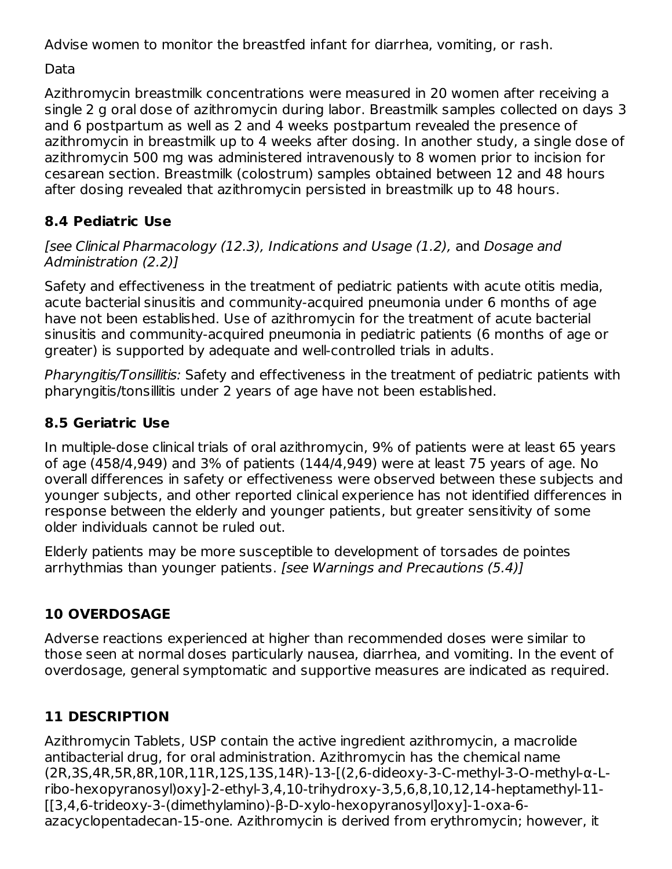Advise women to monitor the breastfed infant for diarrhea, vomiting, or rash.

Data

Azithromycin breastmilk concentrations were measured in 20 women after receiving a single 2 g oral dose of azithromycin during labor. Breastmilk samples collected on days 3 and 6 postpartum as well as 2 and 4 weeks postpartum revealed the presence of azithromycin in breastmilk up to 4 weeks after dosing. In another study, a single dose of azithromycin 500 mg was administered intravenously to 8 women prior to incision for cesarean section. Breastmilk (colostrum) samples obtained between 12 and 48 hours after dosing revealed that azithromycin persisted in breastmilk up to 48 hours.

# **8.4 Pediatric Use**

[see Clinical Pharmacology (12.3), Indications and Usage (1.2), and Dosage and Administration (2.2)]

Safety and effectiveness in the treatment of pediatric patients with acute otitis media, acute bacterial sinusitis and community-acquired pneumonia under 6 months of age have not been established. Use of azithromycin for the treatment of acute bacterial sinusitis and community-acquired pneumonia in pediatric patients (6 months of age or greater) is supported by adequate and well-controlled trials in adults.

Pharyngitis/Tonsillitis: Safety and effectiveness in the treatment of pediatric patients with pharyngitis/tonsillitis under 2 years of age have not been established.

# **8.5 Geriatric Use**

In multiple-dose clinical trials of oral azithromycin, 9% of patients were at least 65 years of age (458/4,949) and 3% of patients (144/4,949) were at least 75 years of age. No overall differences in safety or effectiveness were observed between these subjects and younger subjects, and other reported clinical experience has not identified differences in response between the elderly and younger patients, but greater sensitivity of some older individuals cannot be ruled out.

Elderly patients may be more susceptible to development of torsades de pointes arrhythmias than younger patients. [see Warnings and Precautions (5.4)]

# **10 OVERDOSAGE**

Adverse reactions experienced at higher than recommended doses were similar to those seen at normal doses particularly nausea, diarrhea, and vomiting. In the event of overdosage, general symptomatic and supportive measures are indicated as required.

# **11 DESCRIPTION**

Azithromycin Tablets, USP contain the active ingredient azithromycin, a macrolide antibacterial drug, for oral administration. Azithromycin has the chemical name (2R,3S,4R,5R,8R,10R,11R,12S,13S,14R)-13-[(2,6-dideoxy-3-C-methyl-3-O-methyl-α-Lribo-hexopyranosyl)oxy]-2-ethyl-3,4,10-trihydroxy-3,5,6,8,10,12,14-heptamethyl-11- [[3,4,6-trideoxy-3-(dimethylamino)-β-D-xylo-hexopyranosyl]oxy]-1-oxa-6 azacyclopentadecan-15-one. Azithromycin is derived from erythromycin; however, it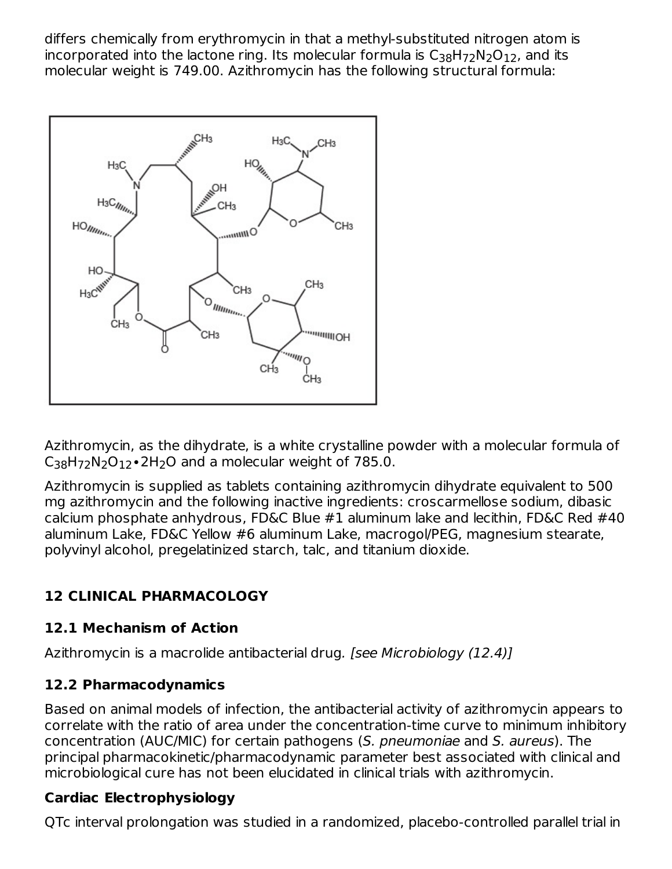differs chemically from erythromycin in that a methyl-substituted nitrogen atom is incorporated into the lactone ring. Its molecular formula is  $\mathsf{C}_{38}\mathsf{H}_{72}\mathsf{N}_2\mathsf{O}_{12}$ , and its molecular weight is 749.00. Azithromycin has the following structural formula:



Azithromycin, as the dihydrate, is a white crystalline powder with a molecular formula of  $C_{38}H_{72}N_2O_{12}$ •2H<sub>2</sub>O and a molecular weight of 785.0.

Azithromycin is supplied as tablets containing azithromycin dihydrate equivalent to 500 mg azithromycin and the following inactive ingredients: croscarmellose sodium, dibasic calcium phosphate anhydrous, FD&C Blue #1 aluminum lake and lecithin, FD&C Red #40 aluminum Lake, FD&C Yellow #6 aluminum Lake, macrogol/PEG, magnesium stearate, polyvinyl alcohol, pregelatinized starch, talc, and titanium dioxide.

## **12 CLINICAL PHARMACOLOGY**

### **12.1 Mechanism of Action**

Azithromycin is a macrolide antibacterial drug. [see Microbiology (12.4)]

## **12.2 Pharmacodynamics**

Based on animal models of infection, the antibacterial activity of azithromycin appears to correlate with the ratio of area under the concentration-time curve to minimum inhibitory concentration (AUC/MIC) for certain pathogens (S. pneumoniae and S. aureus). The principal pharmacokinetic/pharmacodynamic parameter best associated with clinical and microbiological cure has not been elucidated in clinical trials with azithromycin.

## **Cardiac Electrophysiology**

QTc interval prolongation was studied in a randomized, placebo-controlled parallel trial in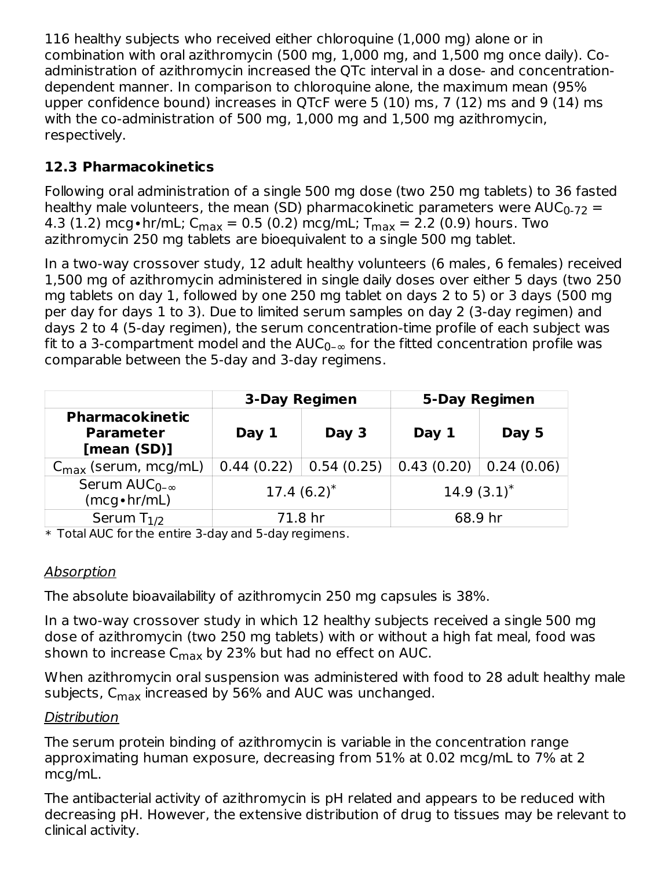116 healthy subjects who received either chloroquine (1,000 mg) alone or in combination with oral azithromycin (500 mg, 1,000 mg, and 1,500 mg once daily). Coadministration of azithromycin increased the QTc interval in a dose- and concentrationdependent manner. In comparison to chloroquine alone, the maximum mean (95% upper confidence bound) increases in QTcF were 5 (10) ms, 7 (12) ms and 9 (14) ms with the co-administration of 500 mg, 1,000 mg and 1,500 mg azithromycin, respectively.

# **12.3 Pharmacokinetics**

Following oral administration of a single 500 mg dose (two 250 mg tablets) to 36 fasted healthy male volunteers, the mean (SD) pharmacokinetic parameters were  $\mathsf{AUC}_{0\text{-}72}=0$ 4.3 (1.2) mcg∙hr/mL; C<sub>max</sub> = 0.5 (0.2) mcg/mL; T<sub>max</sub> = 2.2 (0.9) hours. Two azithromycin 250 mg tablets are bioequivalent to a single 500 mg tablet.

In a two-way crossover study, 12 adult healthy volunteers (6 males, 6 females) received 1,500 mg of azithromycin administered in single daily doses over either 5 days (two 250 mg tablets on day 1, followed by one 250 mg tablet on days 2 to 5) or 3 days (500 mg per day for days 1 to 3). Due to limited serum samples on day 2 (3-day regimen) and days 2 to 4 (5-day regimen), the serum concentration-time profile of each subject was fit to a 3-compartment model and the AUC $_{0-{\infty}}$  for the fitted concentration profile was comparable between the 5-day and 3-day regimens.

|                                                           | <b>3-Day Regimen</b>     |  | <b>5-Day Regimen</b> |                |
|-----------------------------------------------------------|--------------------------|--|----------------------|----------------|
| <b>Pharmacokinetic</b><br><b>Parameter</b><br>[mean (SD)] | Day 1<br>Day 3           |  | Day 1                | Day 5          |
| $C_{\text{max}}$ (serum, mcg/mL)                          | $0.44(0.22)$ 0.54 (0.25) |  | 0.43(0.20)           | 0.24(0.06)     |
| Serum $AUC_{0-\infty}$<br>$(mcg \cdot hr/mL)$             | 17.4 $(6.2)^*$           |  |                      | 14.9 $(3.1)^*$ |
| Serum $T_{1/2}$                                           | 71.8 hr                  |  |                      | 68.9 hr        |

\* Total AUC for the entire 3-day and 5-day regimens.

## Absorption

The absolute bioavailability of azithromycin 250 mg capsules is 38%.

In a two-way crossover study in which 12 healthy subjects received a single 500 mg dose of azithromycin (two 250 mg tablets) with or without a high fat meal, food was shown to increase C<sub>max</sub> by 23% but had no effect on AUC.

When azithromycin oral suspension was administered with food to 28 adult healthy male subjects, C<sub>max</sub> increased by 56% and AUC was unchanged.

## **Distribution**

The serum protein binding of azithromycin is variable in the concentration range approximating human exposure, decreasing from 51% at 0.02 mcg/mL to 7% at 2 mcg/mL.

The antibacterial activity of azithromycin is pH related and appears to be reduced with decreasing pH. However, the extensive distribution of drug to tissues may be relevant to clinical activity.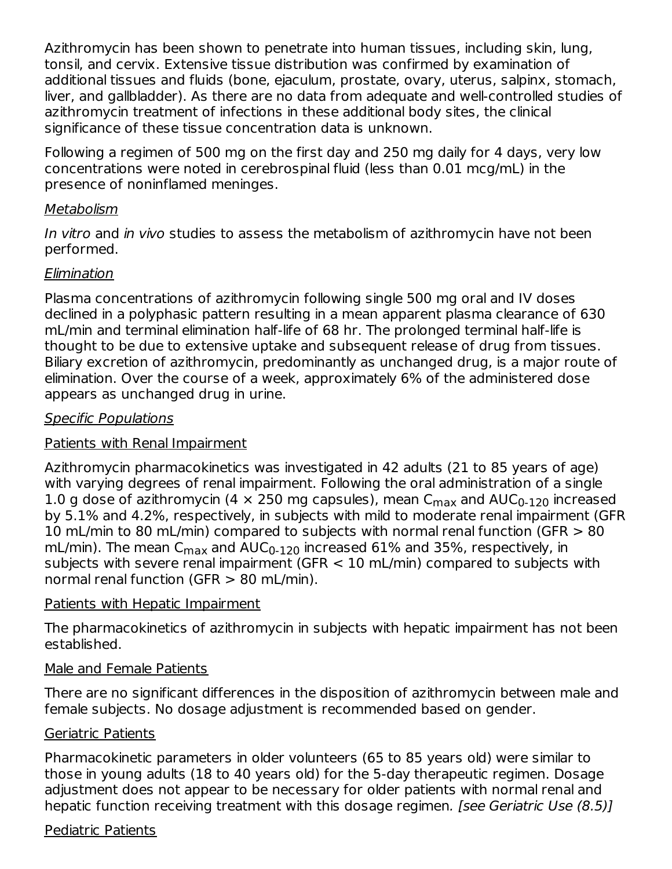Azithromycin has been shown to penetrate into human tissues, including skin, lung, tonsil, and cervix. Extensive tissue distribution was confirmed by examination of additional tissues and fluids (bone, ejaculum, prostate, ovary, uterus, salpinx, stomach, liver, and gallbladder). As there are no data from adequate and well-controlled studies of azithromycin treatment of infections in these additional body sites, the clinical significance of these tissue concentration data is unknown.

Following a regimen of 500 mg on the first day and 250 mg daily for 4 days, very low concentrations were noted in cerebrospinal fluid (less than 0.01 mcg/mL) in the presence of noninflamed meninges.

#### Metabolism

In vitro and in vivo studies to assess the metabolism of azithromycin have not been performed.

### Elimination

Plasma concentrations of azithromycin following single 500 mg oral and IV doses declined in a polyphasic pattern resulting in a mean apparent plasma clearance of 630 mL/min and terminal elimination half-life of 68 hr. The prolonged terminal half-life is thought to be due to extensive uptake and subsequent release of drug from tissues. Biliary excretion of azithromycin, predominantly as unchanged drug, is a major route of elimination. Over the course of a week, approximately 6% of the administered dose appears as unchanged drug in urine.

### Specific Populations

#### Patients with Renal Impairment

Azithromycin pharmacokinetics was investigated in 42 adults (21 to 85 years of age) with varying degrees of renal impairment. Following the oral administration of a single 1.0 g dose of azithromycin (4  $\times$  250 mg capsules), mean C $_{\sf max}$  and AUC $_{\sf 0\text{-}120}$  increased by 5.1% and 4.2%, respectively, in subjects with mild to moderate renal impairment (GFR 10 mL/min to 80 mL/min) compared to subjects with normal renal function (GFR > 80 mL/min). The mean C $_{\sf max}$  and AUC $_{\sf 0\text{-}120}$  increased 61% and 35%, respectively, in subjects with severe renal impairment (GFR < 10 mL/min) compared to subjects with normal renal function (GFR > 80 mL/min).

#### Patients with Hepatic Impairment

The pharmacokinetics of azithromycin in subjects with hepatic impairment has not been established.

#### Male and Female Patients

There are no significant differences in the disposition of azithromycin between male and female subjects. No dosage adjustment is recommended based on gender.

#### Geriatric Patients

Pharmacokinetic parameters in older volunteers (65 to 85 years old) were similar to those in young adults (18 to 40 years old) for the 5-day therapeutic regimen. Dosage adjustment does not appear to be necessary for older patients with normal renal and hepatic function receiving treatment with this dosage regimen. [see Geriatric Use (8.5)]

#### Pediatric Patients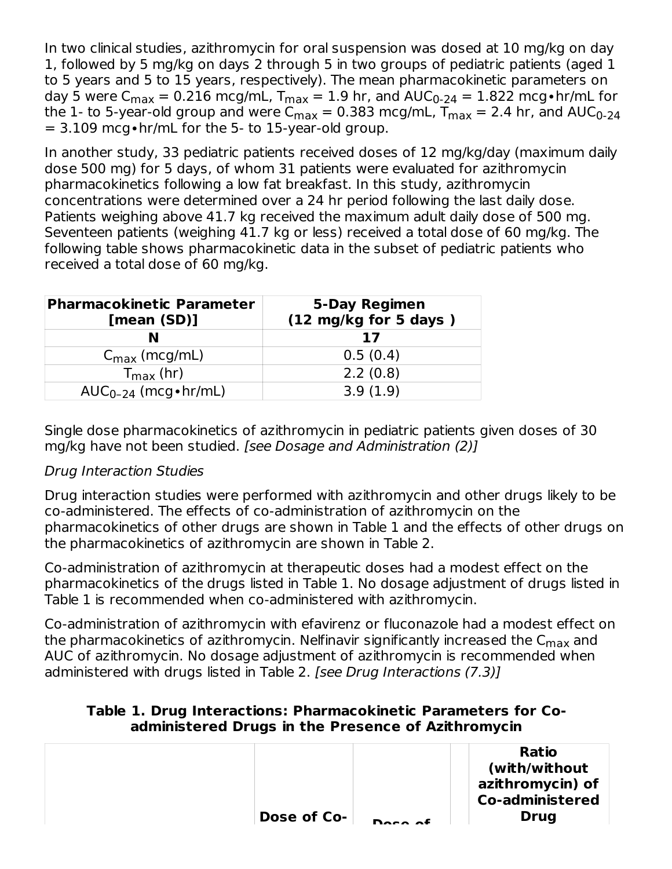In two clinical studies, azithromycin for oral suspension was dosed at 10 mg/kg on day 1, followed by 5 mg/kg on days 2 through 5 in two groups of pediatric patients (aged 1 to 5 years and 5 to 15 years, respectively). The mean pharmacokinetic parameters on day 5 were C $_{\sf max}$  = 0.216 mcg/mL, T $_{\sf max}$  = 1.9 hr, and AUC $_{\sf 0\text{-}24}$  = 1.822 mcg•hr/mL for the 1- to 5-year-old group and were C $_{\sf max}$  = 0.383 mcg/mL, T $_{\sf max}$  = 2.4 hr, and AUC $_{\sf 0\text{-}24}$ = 3.109 mcg∙hr/mL for the 5- to 15-year-old group.

In another study, 33 pediatric patients received doses of 12 mg/kg/day (maximum daily dose 500 mg) for 5 days, of whom 31 patients were evaluated for azithromycin pharmacokinetics following a low fat breakfast. In this study, azithromycin concentrations were determined over a 24 hr period following the last daily dose. Patients weighing above 41.7 kg received the maximum adult daily dose of 500 mg. Seventeen patients (weighing 41.7 kg or less) received a total dose of 60 mg/kg. The following table shows pharmacokinetic data in the subset of pediatric patients who received a total dose of 60 mg/kg.

| <b>Pharmacokinetic Parameter</b><br>[mean (SD)] | 5-Day Regimen<br>(12 mg/kg for 5 days) |  |  |  |
|-------------------------------------------------|----------------------------------------|--|--|--|
|                                                 | 17                                     |  |  |  |
| $C_{\text{max}}$ (mcg/mL)                       | 0.5(0.4)                               |  |  |  |
| $T_{\rm max}$ (hr)                              | 2.2(0.8)                               |  |  |  |
| $AUC_{0-24}$ (mcg • hr/mL)                      | 3.9(1.9)                               |  |  |  |

Single dose pharmacokinetics of azithromycin in pediatric patients given doses of 30 mg/kg have not been studied. [see Dosage and Administration (2)]

### Drug Interaction Studies

Drug interaction studies were performed with azithromycin and other drugs likely to be co-administered. The effects of co-administration of azithromycin on the pharmacokinetics of other drugs are shown in Table 1 and the effects of other drugs on the pharmacokinetics of azithromycin are shown in Table 2.

Co-administration of azithromycin at therapeutic doses had a modest effect on the pharmacokinetics of the drugs listed in Table 1. No dosage adjustment of drugs listed in Table 1 is recommended when co-administered with azithromycin.

Co-administration of azithromycin with efavirenz or fluconazole had a modest effect on the pharmacokinetics of azithromycin. Nelfinavir significantly increased the  ${\sf C}_{\sf max}$  and AUC of azithromycin. No dosage adjustment of azithromycin is recommended when administered with drugs listed in Table 2. [see Drug Interactions (7.3)]

#### **Table 1. Drug Interactions: Pharmacokinetic Parameters for Coadministered Drugs in the Presence of Azithromycin**

| Dose of Co- |         | <b>Ratio</b><br>(with/without<br>azithromycin) of<br><b>Co-administered</b><br><b>Drug</b> |
|-------------|---------|--------------------------------------------------------------------------------------------|
|             | $P = 5$ |                                                                                            |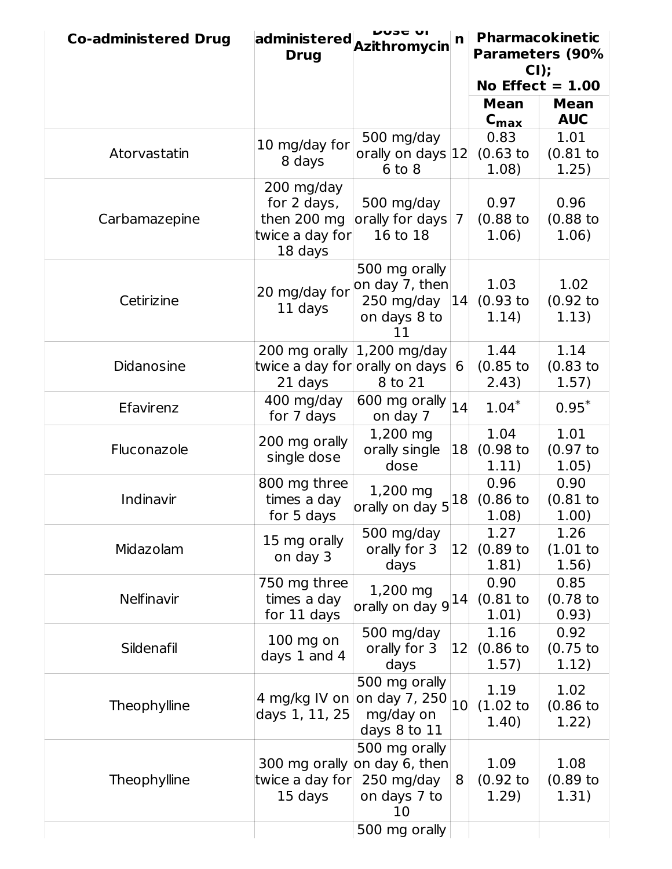| <b>Co-administered Drug</b> | administered<br><b>Drug</b>                                            | וט סכטע<br>Azithromycin                                                           | n  | <b>Pharmacokinetic</b><br><b>Parameters (90%</b><br>$CI$ ); |                              |
|-----------------------------|------------------------------------------------------------------------|-----------------------------------------------------------------------------------|----|-------------------------------------------------------------|------------------------------|
|                             |                                                                        |                                                                                   |    |                                                             | No Effect $= 1.00$           |
|                             |                                                                        |                                                                                   |    | <b>Mean</b><br>$C_{\text{max}}$                             | <b>Mean</b><br><b>AUC</b>    |
| Atorvastatin                | 10 mg/day for<br>8 days                                                | 500 mg/day<br>orally on days 12<br>$6$ to $8$                                     |    | 0.83<br>$(0.63)$ to<br>1.08)                                | 1.01<br>(0.81)<br>1.25)      |
| Carbamazepine               | 200 mg/day<br>for 2 days,<br>then 200 mg<br>twice a day for<br>18 days | 500 mg/day<br>orally for days<br>16 to 18                                         | 7  | 0.97<br>$(0.88)$ to<br>1.06)                                | 0.96<br>$(0.88)$ to<br>1.06) |
| Cetirizine                  | 20 mg/day for<br>11 days                                               | 500 mg orally<br>on day 7, then<br>250 mg/day<br>on days 8 to<br>11               | 14 | 1.03<br>(0.93)<br>1.14)                                     | 1.02<br>$(0.92)$ to<br>1.13) |
| <b>Didanosine</b>           | 200 mg orally<br>21 days                                               | 1,200 mg/day<br>twice a day for orally on days<br>8 to 21                         | 6  | 1.44<br>$(0.85)$ to<br>2.43)                                | 1.14<br>$(0.83)$ to<br>1.57) |
| Efavirenz                   | 400 mg/day<br>for 7 days                                               | 600 mg orally<br>on day 7                                                         | 14 | $1.04*$                                                     | $0.95*$                      |
| Fluconazole                 | 200 mg orally<br>single dose                                           | 1,200 mg<br>orally single<br>dose                                                 | 18 | 1.04<br>$(0.98)$ to<br>1.11)                                | 1.01<br>(0.97)<br>1.05)      |
| Indinavir                   | 800 mg three<br>times a day<br>for 5 days                              | 1,200 mg<br>orally on day 5                                                       | 18 | 0.96<br>$(0.86)$ to<br>1.08)                                | 0.90<br>$(0.81$ to<br>1.00)  |
| Midazolam                   | 15 mg orally<br>on day 3                                               | 500 mg/day<br>orally for 3<br>days                                                | 12 | 1.27<br>$(0.89)$ to<br>1.81)                                | 1.26<br>(1.01)<br>1.56)      |
| Nelfinavir                  | 750 mg three<br>times a day<br>for 11 days                             | 1,200 mg<br>orally on day 9                                                       | 14 | 0.90<br>$(0.81$ to<br>1.01)                                 | 0.85<br>$(0.78)$ to<br>0.93) |
| Sildenafil                  | $100$ mg on<br>days 1 and 4                                            | 500 mg/day<br>orally for 3<br>days                                                | 12 | 1.16<br>(0.86)<br>1.57)                                     | 0.92<br>(0.75)<br>1.12)      |
| Theophylline                | 4 mg/kg IV on<br>days 1, 11, 25                                        | 500 mg orally<br>on day 7, 250<br>mg/day on<br>days 8 to 11                       | 10 | 1.19<br>(1.02)<br>1.40)                                     | 1.02<br>$(0.86)$ to<br>1.22) |
| Theophylline                | twice a day for<br>15 days                                             | 500 mg orally<br>300 mg orally on day 6, then<br>250 mg/day<br>on days 7 to<br>10 | 8  | 1.09<br>(0.92)<br>1.29)                                     | 1.08<br>$(0.89)$ to<br>1.31) |
|                             |                                                                        | 500 mg orally                                                                     |    |                                                             |                              |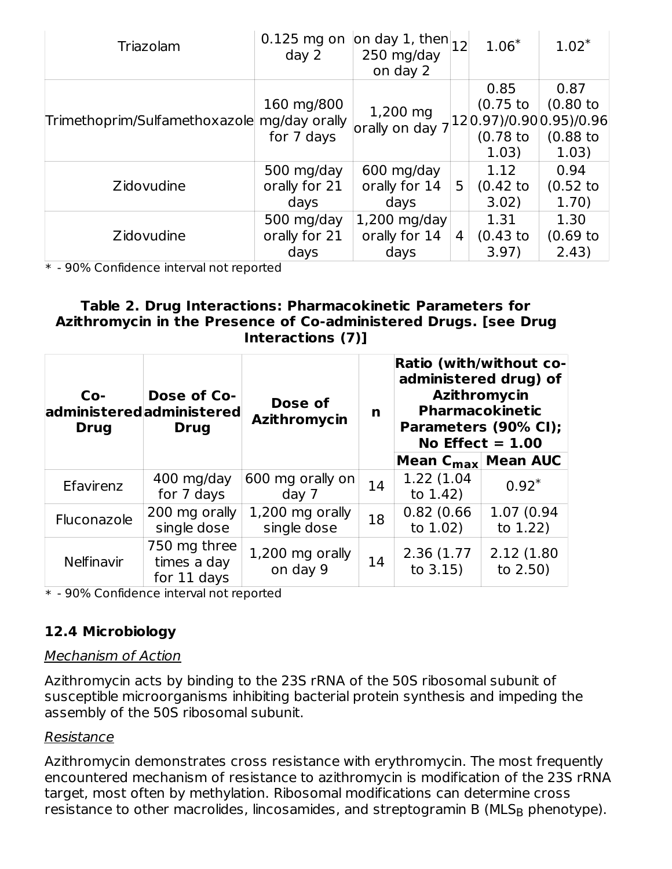| Triazolam                     | $0.125$ mg on<br>day <sub>2</sub>         | on day 1, then $ _{12} $<br>250 mg/day<br>on day 2                                           |   | $1.06*$                                | $1.02*$                                     |
|-------------------------------|-------------------------------------------|----------------------------------------------------------------------------------------------|---|----------------------------------------|---------------------------------------------|
| Trimethoprim/Sulfamethoxazole | 160 mg/800<br>mg/day orally<br>for 7 days | 1,200 mg<br>$\vert$ orally on day 7 $\vert$ 12 $\vert$ 0.97)/0.90 $\vert$ 0.95)/0.96 $\vert$ |   | 0.85<br>(0.75)<br>$(0.78)$ to<br>1.03) | 0.87<br>$(0.80)$ to<br>$(0.88)$ to<br>1.03) |
| Zidovudine                    | 500 mg/day<br>orally for 21<br>days       | 600 mg/day<br>orally for 14<br>days                                                          | 5 | 1.12<br>(0.42)<br>3.02)                | 0.94<br>(0.52)<br>1.70)                     |
| Zidovudine                    | 500 mg/day<br>orally for 21<br>days       | $1,200$ mg/day<br>orally for 14<br>days                                                      | 4 | 1.31<br>$(0.43$ to<br>3.97)            | 1.30<br>(0.69)<br>2.43)                     |

\* - 90% Confidence interval not reported

#### **Table 2. Drug Interactions: Pharmacokinetic Parameters for Azithromycin in the Presence of Co-administered Drugs. [see Drug Interactions (7)]**

| $Co-$<br><b>Drug</b> | Dose of Co-<br>administeredadministered<br><b>Drug</b> | Dose of<br>Azithromycin        | n  | <b>Ratio (with/without co-</b><br>administered drug) of<br>Azithromycin<br><b>Pharmacokinetic</b><br>Parameters (90% CI);<br>No Effect $= 1.00$<br>Mean $C_{\text{max}}$ Mean AUC |                            |  |  |  |
|----------------------|--------------------------------------------------------|--------------------------------|----|-----------------------------------------------------------------------------------------------------------------------------------------------------------------------------------|----------------------------|--|--|--|
| Efavirenz            | 400 mg/day<br>for 7 days                               | 600 mg orally on<br>day 7      | 14 | 1.22 (1.04)<br>to $1.42$ )                                                                                                                                                        | $0.92*$                    |  |  |  |
| Fluconazole          | 200 mg orally<br>single dose                           | 1,200 mg orally<br>single dose | 18 | 0.82(0.66)<br>to $1.02$ )                                                                                                                                                         | 1.07 (0.94<br>to 1.22)     |  |  |  |
| <b>Nelfinavir</b>    | 750 mg three<br>times a day<br>for 11 days             | 1,200 mg orally<br>on day 9    | 14 | 2.36 (1.77)<br>to $3.15$ )                                                                                                                                                        | 2.12 (1.80)<br>to $2.50$ ) |  |  |  |

\* - 90% Confidence interval not reported

## **12.4 Microbiology**

#### Mechanism of Action

Azithromycin acts by binding to the 23S rRNA of the 50S ribosomal subunit of susceptible microorganisms inhibiting bacterial protein synthesis and impeding the assembly of the 50S ribosomal subunit.

#### Resistance

Azithromycin demonstrates cross resistance with erythromycin. The most frequently encountered mechanism of resistance to azithromycin is modification of the 23S rRNA target, most often by methylation. Ribosomal modifications can determine cross resistance to other macrolides, lincosamides, and streptogramin B (MLS<sub>B</sub> phenotype).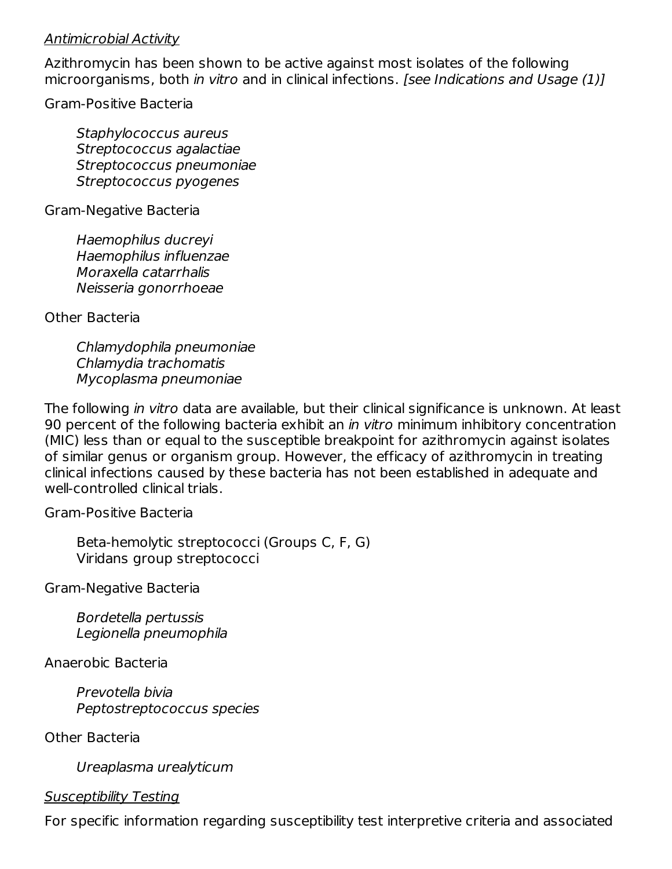#### Antimicrobial Activity

Azithromycin has been shown to be active against most isolates of the following microorganisms, both in vitro and in clinical infections. [see Indications and Usage (1)]

Gram-Positive Bacteria

Staphylococcus aureus Streptococcus agalactiae Streptococcus pneumoniae Streptococcus pyogenes

Gram-Negative Bacteria

Haemophilus ducreyi Haemophilus influenzae Moraxella catarrhalis Neisseria gonorrhoeae

Other Bacteria

Chlamydophila pneumoniae Chlamydia trachomatis Mycoplasma pneumoniae

The following in vitro data are available, but their clinical significance is unknown. At least 90 percent of the following bacteria exhibit an *in vitro* minimum inhibitory concentration (MIC) less than or equal to the susceptible breakpoint for azithromycin against isolates of similar genus or organism group. However, the efficacy of azithromycin in treating clinical infections caused by these bacteria has not been established in adequate and well-controlled clinical trials.

Gram-Positive Bacteria

Beta-hemolytic streptococci (Groups C, F, G) Viridans group streptococci

Gram-Negative Bacteria

Bordetella pertussis Legionella pneumophila

Anaerobic Bacteria

Prevotella bivia Peptostreptococcus species

Other Bacteria

Ureaplasma urealyticum

#### Susceptibility Testing

For specific information regarding susceptibility test interpretive criteria and associated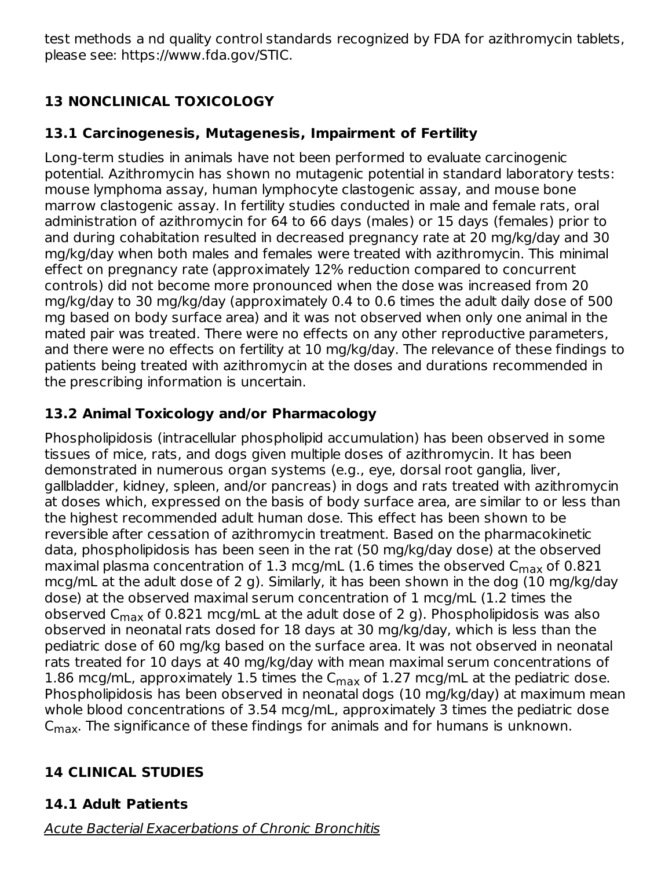test methods a nd quality control standards recognized by FDA for azithromycin tablets, please see: https://www.fda.gov/STIC.

# **13 NONCLINICAL TOXICOLOGY**

# **13.1 Carcinogenesis, Mutagenesis, Impairment of Fertility**

Long-term studies in animals have not been performed to evaluate carcinogenic potential. Azithromycin has shown no mutagenic potential in standard laboratory tests: mouse lymphoma assay, human lymphocyte clastogenic assay, and mouse bone marrow clastogenic assay. In fertility studies conducted in male and female rats, oral administration of azithromycin for 64 to 66 days (males) or 15 days (females) prior to and during cohabitation resulted in decreased pregnancy rate at 20 mg/kg/day and 30 mg/kg/day when both males and females were treated with azithromycin. This minimal effect on pregnancy rate (approximately 12% reduction compared to concurrent controls) did not become more pronounced when the dose was increased from 20 mg/kg/day to 30 mg/kg/day (approximately 0.4 to 0.6 times the adult daily dose of 500 mg based on body surface area) and it was not observed when only one animal in the mated pair was treated. There were no effects on any other reproductive parameters, and there were no effects on fertility at 10 mg/kg/day. The relevance of these findings to patients being treated with azithromycin at the doses and durations recommended in the prescribing information is uncertain.

# **13.2 Animal Toxicology and/or Pharmacology**

Phospholipidosis (intracellular phospholipid accumulation) has been observed in some tissues of mice, rats, and dogs given multiple doses of azithromycin. It has been demonstrated in numerous organ systems (e.g., eye, dorsal root ganglia, liver, gallbladder, kidney, spleen, and/or pancreas) in dogs and rats treated with azithromycin at doses which, expressed on the basis of body surface area, are similar to or less than the highest recommended adult human dose. This effect has been shown to be reversible after cessation of azithromycin treatment. Based on the pharmacokinetic data, phospholipidosis has been seen in the rat (50 mg/kg/day dose) at the observed maximal plasma concentration of  $1.3$  mcg/mL ( $1.6$  times the observed  $\mathsf{C}_{\mathsf{max}}$  of  $0.821$ mcg/mL at the adult dose of 2 g). Similarly, it has been shown in the dog (10 mg/kg/day dose) at the observed maximal serum concentration of 1 mcg/mL (1.2 times the observed C<sub>max</sub> of 0.821 mcg/mL at the adult dose of 2 g). Phospholipidosis was also observed in neonatal rats dosed for 18 days at 30 mg/kg/day, which is less than the pediatric dose of 60 mg/kg based on the surface area. It was not observed in neonatal rats treated for 10 days at 40 mg/kg/day with mean maximal serum concentrations of 1.86 mcg/mL, approximately 1.5 times the  $C_{\sf max}$  of 1.27 mcg/mL at the pediatric dose. Phospholipidosis has been observed in neonatal dogs (10 mg/kg/day) at maximum mean whole blood concentrations of 3.54 mcg/mL, approximately 3 times the pediatric dose  $\mathsf{C}_{\mathsf{max}}.$  The significance of these findings for animals and for humans is unknown.

# **14 CLINICAL STUDIES**

# **14.1 Adult Patients**

Acute Bacterial Exacerbations of Chronic Bronchitis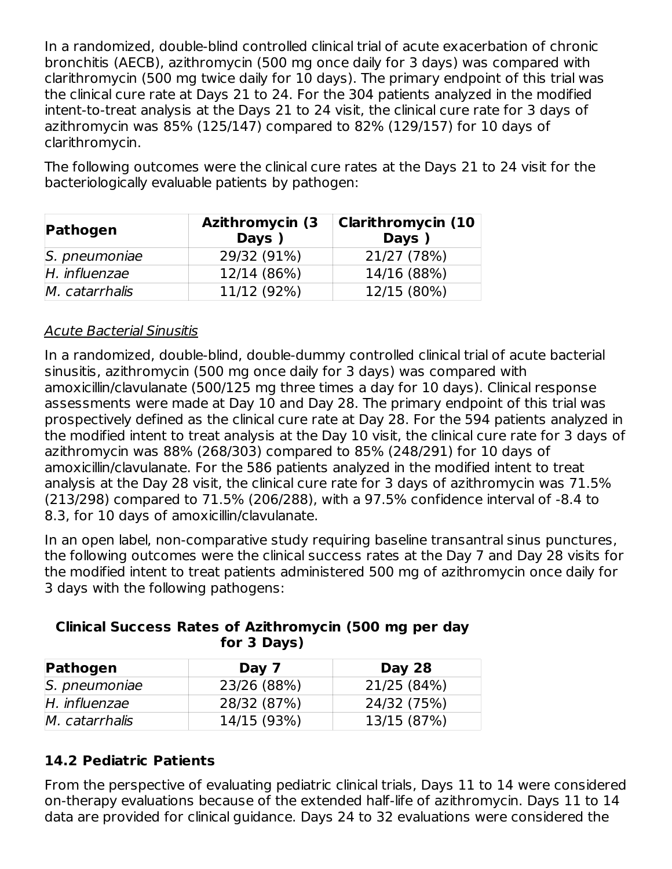In a randomized, double-blind controlled clinical trial of acute exacerbation of chronic bronchitis (AECB), azithromycin (500 mg once daily for 3 days) was compared with clarithromycin (500 mg twice daily for 10 days). The primary endpoint of this trial was the clinical cure rate at Days 21 to 24. For the 304 patients analyzed in the modified intent-to-treat analysis at the Days 21 to 24 visit, the clinical cure rate for 3 days of azithromycin was 85% (125/147) compared to 82% (129/157) for 10 days of clarithromycin.

The following outcomes were the clinical cure rates at the Days 21 to 24 visit for the bacteriologically evaluable patients by pathogen:

| Pathogen       | <b>Azithromycin (3)</b><br><b>Days</b> | <b>Clarithromycin (10</b><br><b>Days</b> |  |  |  |
|----------------|----------------------------------------|------------------------------------------|--|--|--|
| S. pneumoniae  | 29/32 (91%)                            | 21/27 (78%)                              |  |  |  |
| H. influenzae  | 12/14 (86%)                            | 14/16 (88%)                              |  |  |  |
| M. catarrhalis | 11/12 (92%)                            | 12/15 (80%)                              |  |  |  |

### Acute Bacterial Sinusitis

In a randomized, double-blind, double-dummy controlled clinical trial of acute bacterial sinusitis, azithromycin (500 mg once daily for 3 days) was compared with amoxicillin/clavulanate (500/125 mg three times a day for 10 days). Clinical response assessments were made at Day 10 and Day 28. The primary endpoint of this trial was prospectively defined as the clinical cure rate at Day 28. For the 594 patients analyzed in the modified intent to treat analysis at the Day 10 visit, the clinical cure rate for 3 days of azithromycin was 88% (268/303) compared to 85% (248/291) for 10 days of amoxicillin/clavulanate. For the 586 patients analyzed in the modified intent to treat analysis at the Day 28 visit, the clinical cure rate for 3 days of azithromycin was 71.5% (213/298) compared to 71.5% (206/288), with a 97.5% confidence interval of -8.4 to 8.3, for 10 days of amoxicillin/clavulanate.

In an open label, non-comparative study requiring baseline transantral sinus punctures, the following outcomes were the clinical success rates at the Day 7 and Day 28 visits for the modified intent to treat patients administered 500 mg of azithromycin once daily for 3 days with the following pathogens:

| Pathogen       | Day 7       | <b>Day 28</b> |
|----------------|-------------|---------------|
| S. pneumoniae  | 23/26 (88%) | 21/25 (84%)   |
| H. influenzae  | 28/32 (87%) | 24/32 (75%)   |
| M. catarrhalis | 14/15 (93%) | 13/15 (87%)   |

#### **Clinical Success Rates of Azithromycin (500 mg per day for 3 Days)**

## **14.2 Pediatric Patients**

From the perspective of evaluating pediatric clinical trials, Days 11 to 14 were considered on-therapy evaluations because of the extended half-life of azithromycin. Days 11 to 14 data are provided for clinical guidance. Days 24 to 32 evaluations were considered the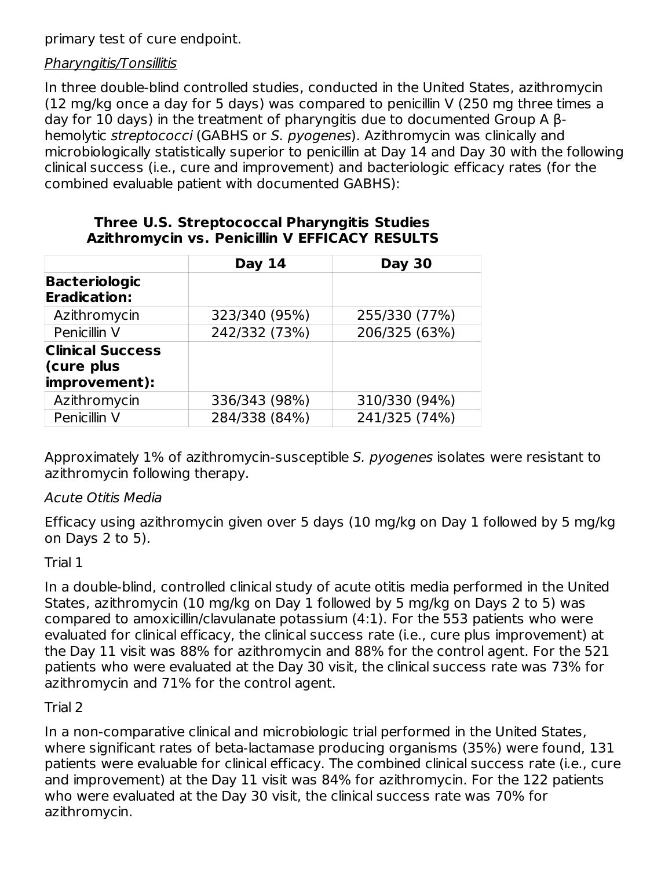primary test of cure endpoint.

#### Pharyngitis/Tonsillitis

In three double-blind controlled studies, conducted in the United States, azithromycin (12 mg/kg once a day for 5 days) was compared to penicillin V (250 mg three times a day for 10 days) in the treatment of pharyngitis due to documented Group A βhemolytic streptococci (GABHS or S. pyogenes). Azithromycin was clinically and microbiologically statistically superior to penicillin at Day 14 and Day 30 with the following clinical success (i.e., cure and improvement) and bacteriologic efficacy rates (for the combined evaluable patient with documented GABHS):

|                                             | <b>Day 14</b> | <b>Day 30</b> |
|---------------------------------------------|---------------|---------------|
| <b>Bacteriologic</b><br><b>Eradication:</b> |               |               |
| Azithromycin                                | 323/340 (95%) | 255/330 (77%) |
| Penicillin V                                | 242/332 (73%) | 206/325 (63%) |
| <b>Clinical Success</b><br>(cure plus       |               |               |
| improvement):                               |               |               |
| Azithromycin                                | 336/343 (98%) | 310/330 (94%) |
| Penicillin V                                | 284/338 (84%) | 241/325 (74%) |

#### **Three U.S. Streptococcal Pharyngitis Studies Azithromycin vs. Penicillin V EFFICACY RESULTS**

Approximately 1% of azithromycin-susceptible S. pyogenes isolates were resistant to azithromycin following therapy.

### Acute Otitis Media

Efficacy using azithromycin given over 5 days (10 mg/kg on Day 1 followed by 5 mg/kg on Days 2 to 5).

### Trial 1

In a double-blind, controlled clinical study of acute otitis media performed in the United States, azithromycin (10 mg/kg on Day 1 followed by 5 mg/kg on Days 2 to 5) was compared to amoxicillin/clavulanate potassium (4:1). For the 553 patients who were evaluated for clinical efficacy, the clinical success rate (i.e., cure plus improvement) at the Day 11 visit was 88% for azithromycin and 88% for the control agent. For the 521 patients who were evaluated at the Day 30 visit, the clinical success rate was 73% for azithromycin and 71% for the control agent.

### Trial 2

In a non-comparative clinical and microbiologic trial performed in the United States, where significant rates of beta-lactamase producing organisms (35%) were found, 131 patients were evaluable for clinical efficacy. The combined clinical success rate (i.e., cure and improvement) at the Day 11 visit was 84% for azithromycin. For the 122 patients who were evaluated at the Day 30 visit, the clinical success rate was 70% for azithromycin.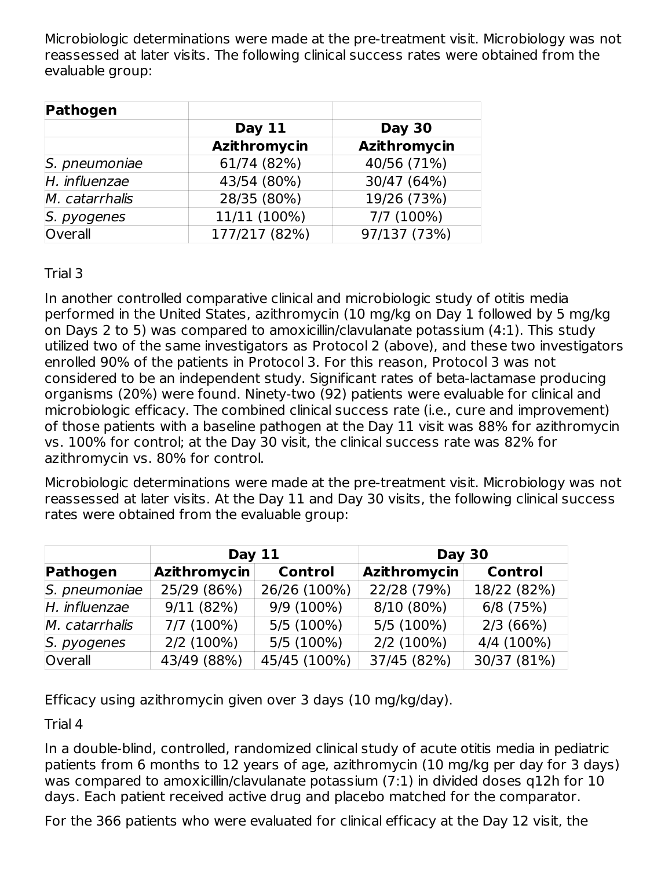Microbiologic determinations were made at the pre-treatment visit. Microbiology was not reassessed at later visits. The following clinical success rates were obtained from the evaluable group:

| Pathogen       |                     |               |
|----------------|---------------------|---------------|
|                | <b>Day 11</b>       | <b>Day 30</b> |
|                | <b>Azithromycin</b> | Azithromycin  |
| S. pneumoniae  | 61/74 (82%)         | 40/56 (71%)   |
| H. influenzae  | 43/54 (80%)         | 30/47 (64%)   |
| M. catarrhalis | 28/35 (80%)         | 19/26 (73%)   |
| S. pyogenes    | 11/11 (100%)        | 7/7 (100%)    |
| Overall        | 177/217 (82%)       | 97/137 (73%)  |

Trial 3

In another controlled comparative clinical and microbiologic study of otitis media performed in the United States, azithromycin (10 mg/kg on Day 1 followed by 5 mg/kg on Days 2 to 5) was compared to amoxicillin/clavulanate potassium (4:1). This study utilized two of the same investigators as Protocol 2 (above), and these two investigators enrolled 90% of the patients in Protocol 3. For this reason, Protocol 3 was not considered to be an independent study. Significant rates of beta-lactamase producing organisms (20%) were found. Ninety-two (92) patients were evaluable for clinical and microbiologic efficacy. The combined clinical success rate (i.e., cure and improvement) of those patients with a baseline pathogen at the Day 11 visit was 88% for azithromycin vs. 100% for control; at the Day 30 visit, the clinical success rate was 82% for azithromycin vs. 80% for control.

Microbiologic determinations were made at the pre-treatment visit. Microbiology was not reassessed at later visits. At the Day 11 and Day 30 visits, the following clinical success rates were obtained from the evaluable group:

| <b>Day 11</b>  |              | <b>Day 30</b>  |              |                |  |
|----------------|--------------|----------------|--------------|----------------|--|
| Pathogen       | Azithromycin | <b>Control</b> | Azithromycin | <b>Control</b> |  |
| S. pneumoniae  | 25/29 (86%)  | 26/26 (100%)   | 22/28 (79%)  | 18/22 (82%)    |  |
| H. influenzae  | 9/11(82%)    | 9/9 (100%)     | 8/10 (80%)   | $6/8$ (75%)    |  |
| M. catarrhalis | $7/7(100\%)$ | 5/5 (100%)     | 5/5 (100%)   | 2/3(66%)       |  |
| S. pyogenes    | $2/2(100\%)$ | $5/5(100\%)$   | $2/2(100\%)$ | 4/4 (100%)     |  |
| Overall        | 43/49 (88%)  | 45/45 (100%)   | 37/45 (82%)  | 30/37 (81%)    |  |

Efficacy using azithromycin given over 3 days (10 mg/kg/day).

Trial 4

In a double-blind, controlled, randomized clinical study of acute otitis media in pediatric patients from 6 months to 12 years of age, azithromycin (10 mg/kg per day for 3 days) was compared to amoxicillin/clavulanate potassium (7:1) in divided doses q12h for 10 days. Each patient received active drug and placebo matched for the comparator.

For the 366 patients who were evaluated for clinical efficacy at the Day 12 visit, the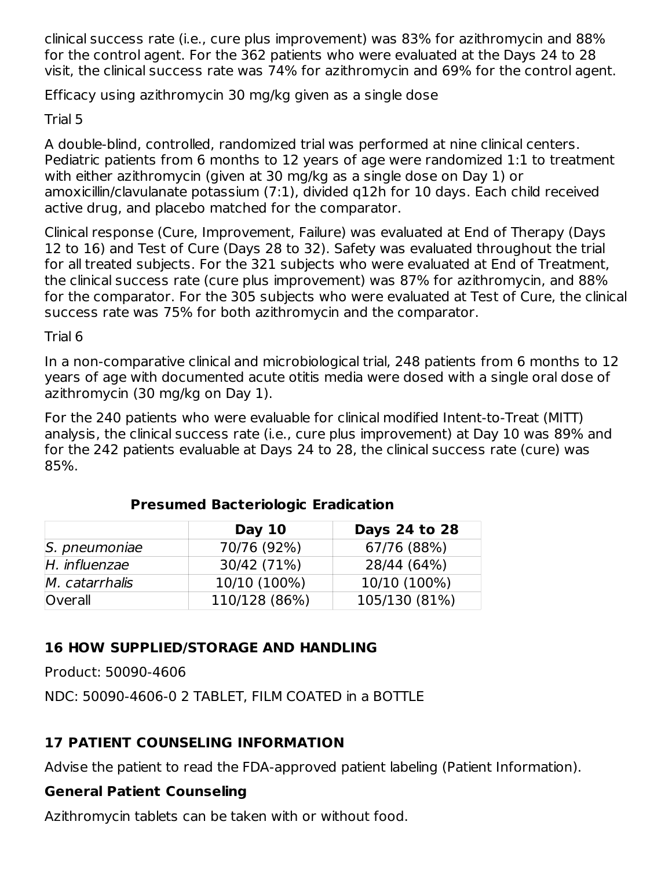clinical success rate (i.e., cure plus improvement) was 83% for azithromycin and 88% for the control agent. For the 362 patients who were evaluated at the Days 24 to 28 visit, the clinical success rate was 74% for azithromycin and 69% for the control agent.

Efficacy using azithromycin 30 mg/kg given as a single dose

Trial 5

A double-blind, controlled, randomized trial was performed at nine clinical centers. Pediatric patients from 6 months to 12 years of age were randomized 1:1 to treatment with either azithromycin (given at 30 mg/kg as a single dose on Day 1) or amoxicillin/clavulanate potassium (7:1), divided q12h for 10 days. Each child received active drug, and placebo matched for the comparator.

Clinical response (Cure, Improvement, Failure) was evaluated at End of Therapy (Days 12 to 16) and Test of Cure (Days 28 to 32). Safety was evaluated throughout the trial for all treated subjects. For the 321 subjects who were evaluated at End of Treatment, the clinical success rate (cure plus improvement) was 87% for azithromycin, and 88% for the comparator. For the 305 subjects who were evaluated at Test of Cure, the clinical success rate was 75% for both azithromycin and the comparator.

Trial 6

In a non-comparative clinical and microbiological trial, 248 patients from 6 months to 12 years of age with documented acute otitis media were dosed with a single oral dose of azithromycin (30 mg/kg on Day 1).

For the 240 patients who were evaluable for clinical modified Intent-to-Treat (MITT) analysis, the clinical success rate (i.e., cure plus improvement) at Day 10 was 89% and for the 242 patients evaluable at Days 24 to 28, the clinical success rate (cure) was 85%.

|                | Day $10$      | Days 24 to 28 |
|----------------|---------------|---------------|
| S. pneumoniae  | 70/76 (92%)   | 67/76 (88%)   |
| H. influenzae  | 30/42 (71%)   | 28/44 (64%)   |
| M. catarrhalis | 10/10 (100%)  | 10/10 (100%)  |
| Overall        | 110/128 (86%) | 105/130 (81%) |

### **Presumed Bacteriologic Eradication**

## **16 HOW SUPPLIED/STORAGE AND HANDLING**

Product: 50090-4606

NDC: 50090-4606-0 2 TABLET, FILM COATED in a BOTTLE

## **17 PATIENT COUNSELING INFORMATION**

Advise the patient to read the FDA-approved patient labeling (Patient Information).

## **General Patient Counseling**

Azithromycin tablets can be taken with or without food.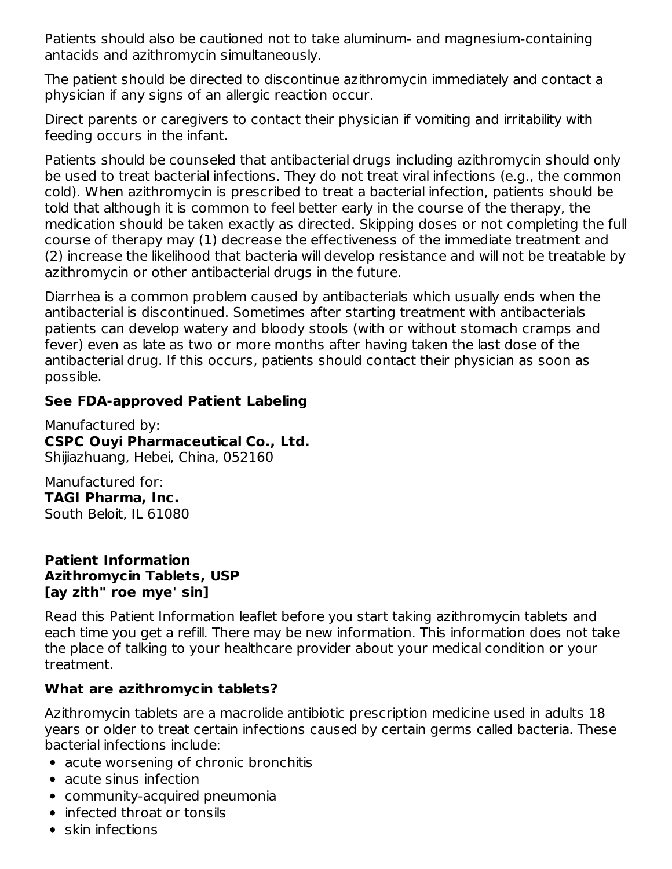Patients should also be cautioned not to take aluminum- and magnesium-containing antacids and azithromycin simultaneously.

The patient should be directed to discontinue azithromycin immediately and contact a physician if any signs of an allergic reaction occur.

Direct parents or caregivers to contact their physician if vomiting and irritability with feeding occurs in the infant.

Patients should be counseled that antibacterial drugs including azithromycin should only be used to treat bacterial infections. They do not treat viral infections (e.g., the common cold). When azithromycin is prescribed to treat a bacterial infection, patients should be told that although it is common to feel better early in the course of the therapy, the medication should be taken exactly as directed. Skipping doses or not completing the full course of therapy may (1) decrease the effectiveness of the immediate treatment and (2) increase the likelihood that bacteria will develop resistance and will not be treatable by azithromycin or other antibacterial drugs in the future.

Diarrhea is a common problem caused by antibacterials which usually ends when the antibacterial is discontinued. Sometimes after starting treatment with antibacterials patients can develop watery and bloody stools (with or without stomach cramps and fever) even as late as two or more months after having taken the last dose of the antibacterial drug. If this occurs, patients should contact their physician as soon as possible.

#### **See FDA-approved Patient Labeling**

Manufactured by: **CSPC Ouyi Pharmaceutical Co., Ltd.** Shijiazhuang, Hebei, China, 052160

Manufactured for: **TAGI Pharma, Inc.** South Beloit, IL 61080

#### **Patient Information Azithromycin Tablets, USP [ay zith" roe mye' sin]**

Read this Patient Information leaflet before you start taking azithromycin tablets and each time you get a refill. There may be new information. This information does not take the place of talking to your healthcare provider about your medical condition or your treatment.

#### **What are azithromycin tablets?**

Azithromycin tablets are a macrolide antibiotic prescription medicine used in adults 18 years or older to treat certain infections caused by certain germs called bacteria. These bacterial infections include:

- acute worsening of chronic bronchitis
- acute sinus infection
- community-acquired pneumonia
- infected throat or tonsils
- $\bullet$  skin infections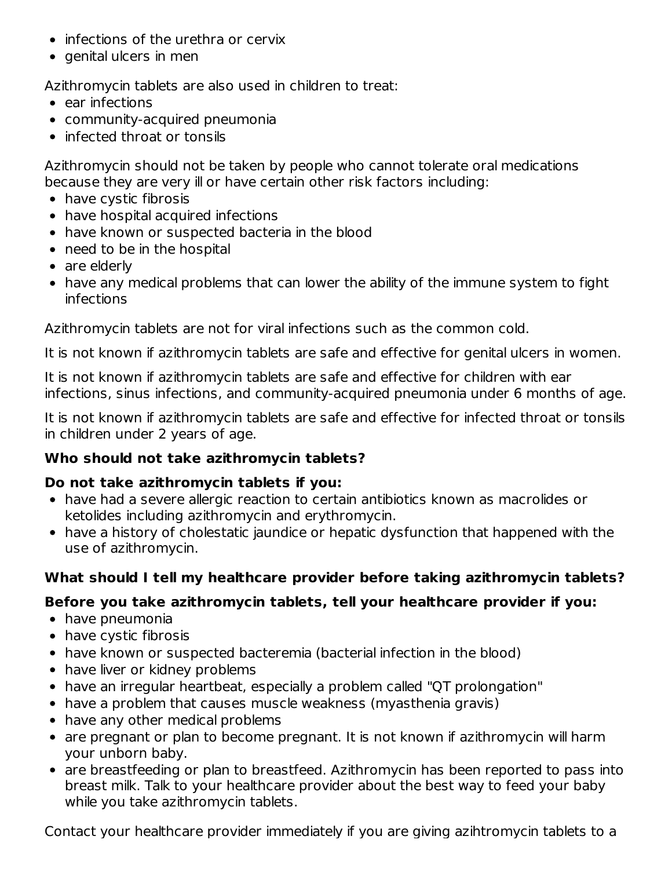- $\bullet$  infections of the urethra or cervix
- $\bullet$  genital ulcers in men

Azithromycin tablets are also used in children to treat:

- $\bullet$  ear infections
- community-acquired pneumonia
- infected throat or tonsils

Azithromycin should not be taken by people who cannot tolerate oral medications because they are very ill or have certain other risk factors including:

- have cystic fibrosis
- have hospital acquired infections
- have known or suspected bacteria in the blood
- need to be in the hospital
- are elderly
- have any medical problems that can lower the ability of the immune system to fight infections

Azithromycin tablets are not for viral infections such as the common cold.

It is not known if azithromycin tablets are safe and effective for genital ulcers in women.

It is not known if azithromycin tablets are safe and effective for children with ear infections, sinus infections, and community-acquired pneumonia under 6 months of age.

It is not known if azithromycin tablets are safe and effective for infected throat or tonsils in children under 2 years of age.

### **Who should not take azithromycin tablets?**

#### **Do not take azithromycin tablets if you:**

- have had a severe allergic reaction to certain antibiotics known as macrolides or ketolides including azithromycin and erythromycin.
- have a history of cholestatic jaundice or hepatic dysfunction that happened with the use of azithromycin.

### **What should I tell my healthcare provider before taking azithromycin tablets?**

### **Before you take azithromycin tablets, tell your healthcare provider if you:**

- have pneumonia
- have cystic fibrosis
- have known or suspected bacteremia (bacterial infection in the blood)
- have liver or kidney problems
- have an irregular heartbeat, especially a problem called "QT prolongation"
- have a problem that causes muscle weakness (myasthenia gravis)
- have any other medical problems
- are pregnant or plan to become pregnant. It is not known if azithromycin will harm your unborn baby.
- are breastfeeding or plan to breastfeed. Azithromycin has been reported to pass into breast milk. Talk to your healthcare provider about the best way to feed your baby while you take azithromycin tablets.

Contact your healthcare provider immediately if you are giving azihtromycin tablets to a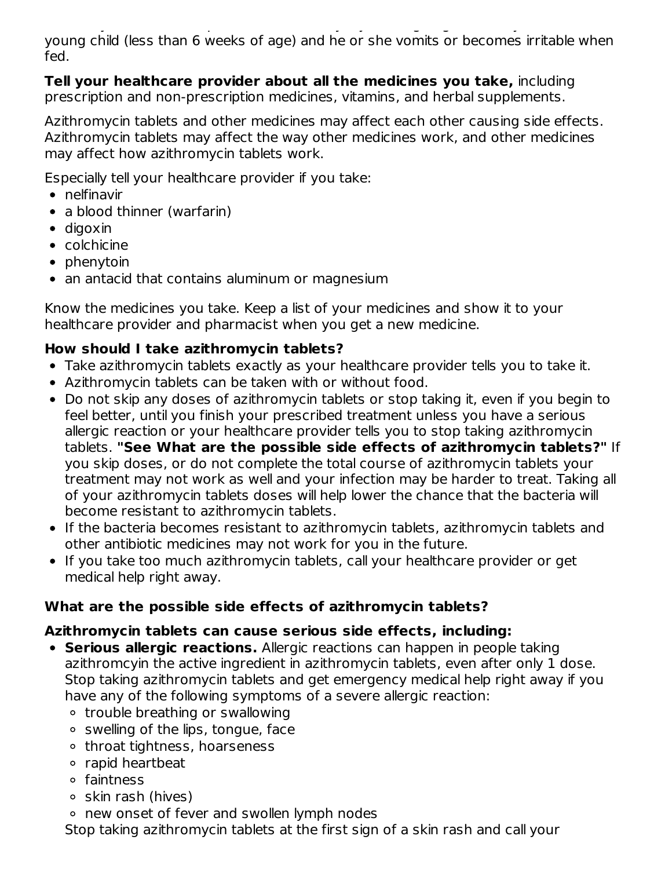Contact your healthcare provider immediately if you are giving azihtromycin tablets to a young child (less than 6 weeks of age) and he or she vomits or becomes irritable when fed.

**Tell your healthcare provider about all the medicines you take,** including prescription and non-prescription medicines, vitamins, and herbal supplements.

Azithromycin tablets and other medicines may affect each other causing side effects. Azithromycin tablets may affect the way other medicines work, and other medicines may affect how azithromycin tablets work.

Especially tell your healthcare provider if you take:

- nelfinavir
- a blood thinner (warfarin)
- digoxin
- colchicine
- $\bullet$  phenytoin
- an antacid that contains aluminum or magnesium

Know the medicines you take. Keep a list of your medicines and show it to your healthcare provider and pharmacist when you get a new medicine.

## **How should I take azithromycin tablets?**

- Take azithromycin tablets exactly as your healthcare provider tells you to take it.
- Azithromycin tablets can be taken with or without food.
- Do not skip any doses of azithromycin tablets or stop taking it, even if you begin to feel better, until you finish your prescribed treatment unless you have a serious allergic reaction or your healthcare provider tells you to stop taking azithromycin tablets. **"See What are the possible side effects of azithromycin tablets?"** If you skip doses, or do not complete the total course of azithromycin tablets your treatment may not work as well and your infection may be harder to treat. Taking all of your azithromycin tablets doses will help lower the chance that the bacteria will become resistant to azithromycin tablets.
- If the bacteria becomes resistant to azithromycin tablets, azithromycin tablets and other antibiotic medicines may not work for you in the future.
- If you take too much azithromycin tablets, call your healthcare provider or get medical help right away.

# **What are the possible side effects of azithromycin tablets?**

## **Azithromycin tablets can cause serious side effects, including:**

- **Serious allergic reactions.** Allergic reactions can happen in people taking azithromcyin the active ingredient in azithromycin tablets, even after only 1 dose. Stop taking azithromycin tablets and get emergency medical help right away if you have any of the following symptoms of a severe allergic reaction:
	- trouble breathing or swallowing
	- $\circ$  swelling of the lips, tongue, face
	- throat tightness, hoarseness
	- rapid heartbeat
	- faintness
	- $\circ$  skin rash (hives)

new onset of fever and swollen lymph nodes

Stop taking azithromycin tablets at the first sign of a skin rash and call your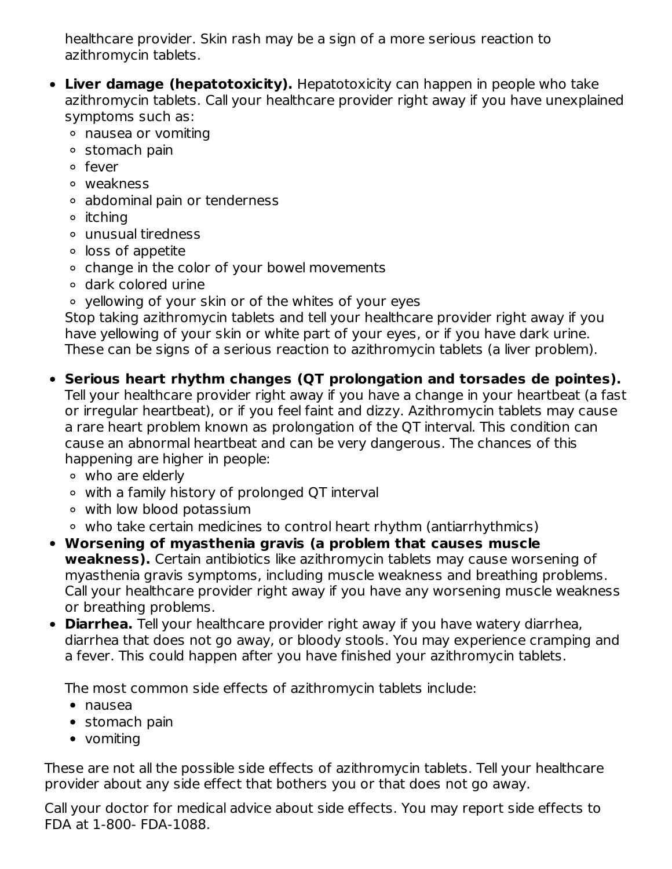healthcare provider. Skin rash may be a sign of a more serious reaction to azithromycin tablets.

- **Liver damage (hepatotoxicity).** Hepatotoxicity can happen in people who take azithromycin tablets. Call your healthcare provider right away if you have unexplained symptoms such as:
	- nausea or vomiting
	- o stomach pain
	- o fever
	- weakness
	- abdominal pain or tenderness
	- <sup>o</sup> itching
	- unusual tiredness
	- loss of appetite
	- change in the color of your bowel movements
	- dark colored urine
	- yellowing of your skin or of the whites of your eyes

Stop taking azithromycin tablets and tell your healthcare provider right away if you have yellowing of your skin or white part of your eyes, or if you have dark urine. These can be signs of a serious reaction to azithromycin tablets (a liver problem).

## **Serious heart rhythm changes (QT prolongation and torsades de pointes).**

Tell your healthcare provider right away if you have a change in your heartbeat (a fast or irregular heartbeat), or if you feel faint and dizzy. Azithromycin tablets may cause a rare heart problem known as prolongation of the QT interval. This condition can cause an abnormal heartbeat and can be very dangerous. The chances of this happening are higher in people:

- who are elderly
- with a family history of prolonged QT interval
- with low blood potassium
- who take certain medicines to control heart rhythm (antiarrhythmics)
- **Worsening of myasthenia gravis (a problem that causes muscle weakness).** Certain antibiotics like azithromycin tablets may cause worsening of myasthenia gravis symptoms, including muscle weakness and breathing problems. Call your healthcare provider right away if you have any worsening muscle weakness or breathing problems.
- **Diarrhea.** Tell your healthcare provider right away if you have watery diarrhea, diarrhea that does not go away, or bloody stools. You may experience cramping and a fever. This could happen after you have finished your azithromycin tablets.

The most common side effects of azithromycin tablets include:

- nausea
- stomach pain
- vomiting

These are not all the possible side effects of azithromycin tablets. Tell your healthcare provider about any side effect that bothers you or that does not go away.

Call your doctor for medical advice about side effects. You may report side effects to FDA at 1-800- FDA-1088.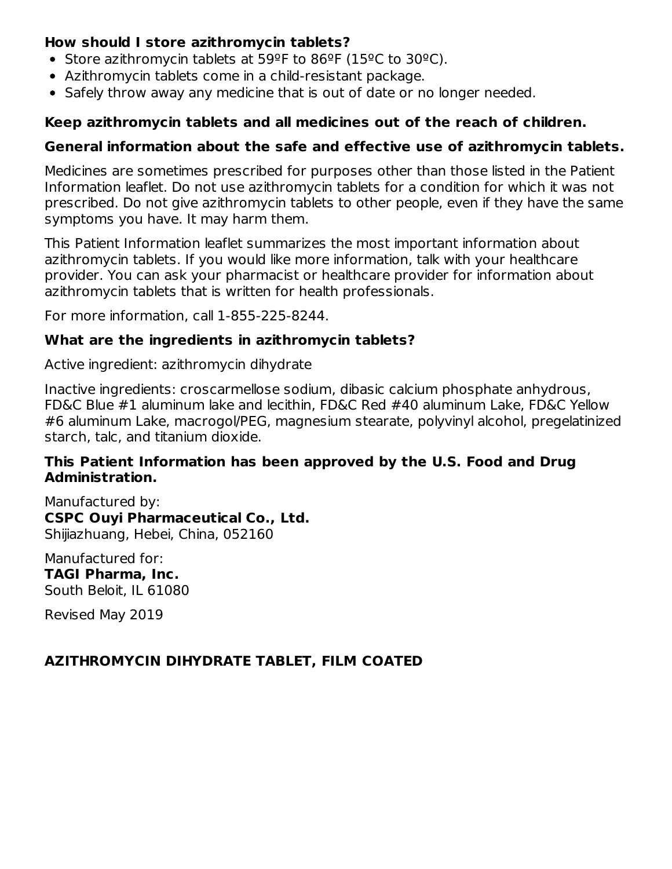#### **How should I store azithromycin tablets?**

- Store azithromycin tablets at  $59^{\circ}$ F to  $86^{\circ}$ F (15 $^{\circ}$ C to 30 $^{\circ}$ C).
- Azithromycin tablets come in a child-resistant package.
- Safely throw away any medicine that is out of date or no longer needed.

### **Keep azithromycin tablets and all medicines out of the reach of children.**

#### **General information about the safe and effective use of azithromycin tablets.**

Medicines are sometimes prescribed for purposes other than those listed in the Patient Information leaflet. Do not use azithromycin tablets for a condition for which it was not prescribed. Do not give azithromycin tablets to other people, even if they have the same symptoms you have. It may harm them.

This Patient Information leaflet summarizes the most important information about azithromycin tablets. If you would like more information, talk with your healthcare provider. You can ask your pharmacist or healthcare provider for information about azithromycin tablets that is written for health professionals.

For more information, call 1-855-225-8244.

#### **What are the ingredients in azithromycin tablets?**

Active ingredient: azithromycin dihydrate

Inactive ingredients: croscarmellose sodium, dibasic calcium phosphate anhydrous, FD&C Blue #1 aluminum lake and lecithin, FD&C Red #40 aluminum Lake, FD&C Yellow #6 aluminum Lake, macrogol/PEG, magnesium stearate, polyvinyl alcohol, pregelatinized starch, talc, and titanium dioxide.

#### **This Patient Information has been approved by the U.S. Food and Drug Administration.**

Manufactured by: **CSPC Ouyi Pharmaceutical Co., Ltd.** Shijiazhuang, Hebei, China, 052160

Manufactured for: **TAGI Pharma, Inc.** South Beloit, IL 61080

Revised May 2019

### **AZITHROMYCIN DIHYDRATE TABLET, FILM COATED**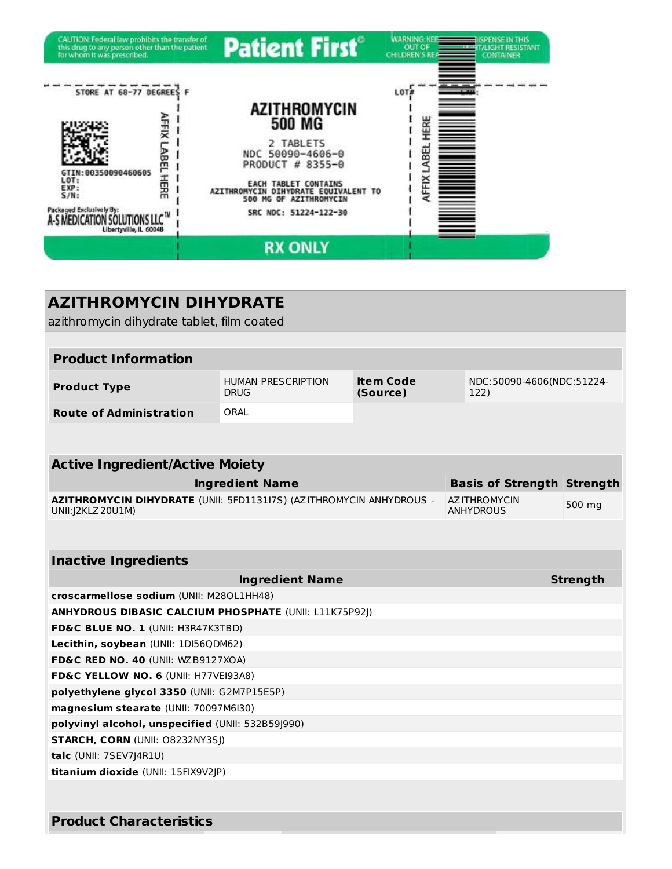

| <b>AZITHROMYCIN DIHYDRATE</b>                                                             |                                          |                              |                                          |                 |
|-------------------------------------------------------------------------------------------|------------------------------------------|------------------------------|------------------------------------------|-----------------|
| azithromycin dihydrate tablet, film coated                                                |                                          |                              |                                          |                 |
|                                                                                           |                                          |                              |                                          |                 |
| <b>Product Information</b>                                                                |                                          |                              |                                          |                 |
| <b>Product Type</b>                                                                       | <b>HUMAN PRESCRIPTION</b><br><b>DRUG</b> | <b>Item Code</b><br>(Source) | NDC:50090-4606(NDC:51224-<br>122)        |                 |
| <b>Route of Administration</b>                                                            | ORAL                                     |                              |                                          |                 |
|                                                                                           |                                          |                              |                                          |                 |
|                                                                                           |                                          |                              |                                          |                 |
| <b>Active Ingredient/Active Moiety</b>                                                    |                                          |                              |                                          |                 |
|                                                                                           | <b>Ingredient Name</b>                   |                              | <b>Basis of Strength Strength</b>        |                 |
| AZITHROMYCIN DIHYDRATE (UNII: 5FD1131I7S) (AZITHROMYCIN ANHYDROUS -<br>UNII: J2KLZ 20U1M) |                                          |                              | <b>AZ ITHROMYCIN</b><br><b>ANHYDROUS</b> | 500 mg          |
|                                                                                           |                                          |                              |                                          |                 |
| <b>Inactive Ingredients</b>                                                               |                                          |                              |                                          |                 |
|                                                                                           | <b>Ingredient Name</b>                   |                              |                                          | <b>Strength</b> |
| croscarmellose sodium (UNII: M280L1HH48)                                                  |                                          |                              |                                          |                 |
| ANHYDROUS DIBASIC CALCIUM PHOSPHATE (UNII: L11K75P92J)                                    |                                          |                              |                                          |                 |
| FD&C BLUE NO. 1 (UNII: H3R47K3TBD)                                                        |                                          |                              |                                          |                 |
| Lecithin, soybean (UNII: 1DI56QDM62)                                                      |                                          |                              |                                          |                 |
| FD&C RED NO. 40 (UNII: WZB9127XOA)                                                        |                                          |                              |                                          |                 |
| FD&C YELLOW NO. 6 (UNII: H77VEI93A8)                                                      |                                          |                              |                                          |                 |
| polyethylene glycol 3350 (UNII: G2M7P15E5P)                                               |                                          |                              |                                          |                 |
| magnesium stearate (UNII: 70097M6I30)                                                     |                                          |                              |                                          |                 |
| polyvinyl alcohol, unspecified (UNII: 532B59J990)                                         |                                          |                              |                                          |                 |
| STARCH, CORN (UNII: 08232NY3SJ)                                                           |                                          |                              |                                          |                 |
| talc (UNII: 7SEV7J4R1U)                                                                   |                                          |                              |                                          |                 |
| titanium dioxide (UNII: 15FIX9V2JP)                                                       |                                          |                              |                                          |                 |
|                                                                                           |                                          |                              |                                          |                 |
| <b>Product Characteristics</b>                                                            |                                          |                              |                                          |                 |